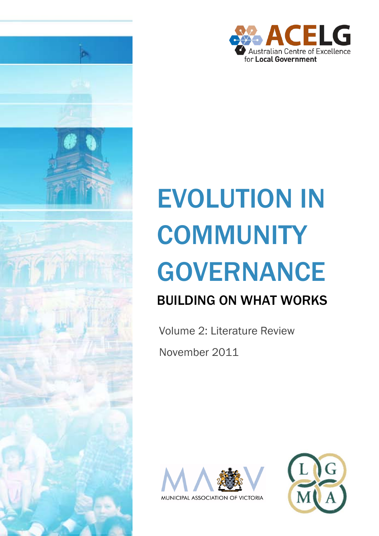

# EVOLUTION IN **COMMUNITY** GOVERNANCE

## BUILDING ON WHAT WORKS

Volume 2: Literature Review November 2011





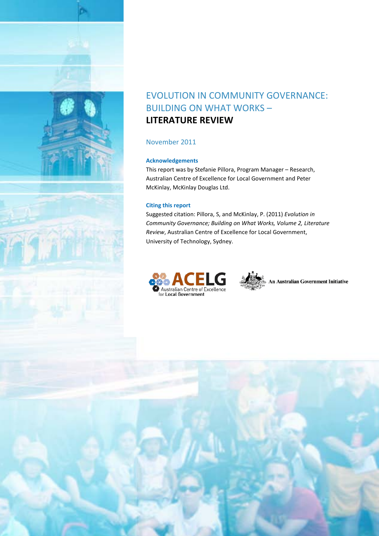

## EVOLUTION IN COMMUNITY GOVERNANCE: BUILDING ON WHAT WORKS – **LITERATURE REVIEW**

#### November 2011

#### **Acknowledgements**

This report was by Stefanie Pillora, Program Manager – Research, Australian Centre of Excellence for Local Government and Peter McKinlay, McKinlay Douglas Ltd.

#### **Citing this report**

Suggested citation: Pillora, S, and McKinlay, P. (2011) *Evolution in Community Governance; Building on What Works, Volume 2, Literature Review*, Australian Centre of Excellence for Local Government, University of Technology, Sydney.



**An Australian Government Initiative**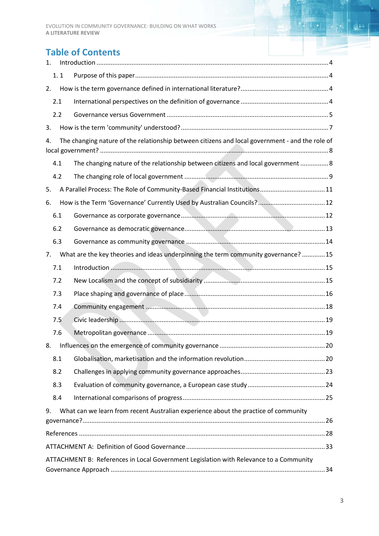## **Table of Contents**

| 1.                                                                                                    |                                                                                        |                                                                                     |  |  |  |  |  |  |
|-------------------------------------------------------------------------------------------------------|----------------------------------------------------------------------------------------|-------------------------------------------------------------------------------------|--|--|--|--|--|--|
|                                                                                                       | 1.1                                                                                    |                                                                                     |  |  |  |  |  |  |
| 2.                                                                                                    |                                                                                        |                                                                                     |  |  |  |  |  |  |
|                                                                                                       | 2.1                                                                                    |                                                                                     |  |  |  |  |  |  |
| 2.2                                                                                                   |                                                                                        |                                                                                     |  |  |  |  |  |  |
| 3.                                                                                                    |                                                                                        |                                                                                     |  |  |  |  |  |  |
| The changing nature of the relationship between citizens and local government - and the role of<br>4. |                                                                                        |                                                                                     |  |  |  |  |  |  |
|                                                                                                       | 4.1                                                                                    | The changing nature of the relationship between citizens and local government  8    |  |  |  |  |  |  |
|                                                                                                       | 4.2                                                                                    |                                                                                     |  |  |  |  |  |  |
| 5.                                                                                                    |                                                                                        | A Parallel Process: The Role of Community-Based Financial Institutions11            |  |  |  |  |  |  |
| 6.                                                                                                    |                                                                                        |                                                                                     |  |  |  |  |  |  |
|                                                                                                       | 6.1                                                                                    |                                                                                     |  |  |  |  |  |  |
|                                                                                                       | 6.2                                                                                    |                                                                                     |  |  |  |  |  |  |
|                                                                                                       | 6.3                                                                                    |                                                                                     |  |  |  |  |  |  |
| 7.                                                                                                    |                                                                                        | What are the key theories and ideas underpinning the term community governance?  15 |  |  |  |  |  |  |
|                                                                                                       | 7.1                                                                                    |                                                                                     |  |  |  |  |  |  |
|                                                                                                       | 7.2                                                                                    |                                                                                     |  |  |  |  |  |  |
|                                                                                                       | 7.3                                                                                    |                                                                                     |  |  |  |  |  |  |
|                                                                                                       | 7.4                                                                                    |                                                                                     |  |  |  |  |  |  |
|                                                                                                       | 7.5                                                                                    |                                                                                     |  |  |  |  |  |  |
|                                                                                                       | 7.6                                                                                    |                                                                                     |  |  |  |  |  |  |
|                                                                                                       |                                                                                        |                                                                                     |  |  |  |  |  |  |
|                                                                                                       | 8.1                                                                                    |                                                                                     |  |  |  |  |  |  |
|                                                                                                       | 8.2                                                                                    |                                                                                     |  |  |  |  |  |  |
|                                                                                                       | 8.3                                                                                    |                                                                                     |  |  |  |  |  |  |
|                                                                                                       | 8.4                                                                                    |                                                                                     |  |  |  |  |  |  |
| 9.                                                                                                    |                                                                                        | What can we learn from recent Australian experience about the practice of community |  |  |  |  |  |  |
|                                                                                                       |                                                                                        |                                                                                     |  |  |  |  |  |  |
|                                                                                                       |                                                                                        |                                                                                     |  |  |  |  |  |  |
|                                                                                                       | ATTACHMENT B: References in Local Government Legislation with Relevance to a Community |                                                                                     |  |  |  |  |  |  |
|                                                                                                       |                                                                                        |                                                                                     |  |  |  |  |  |  |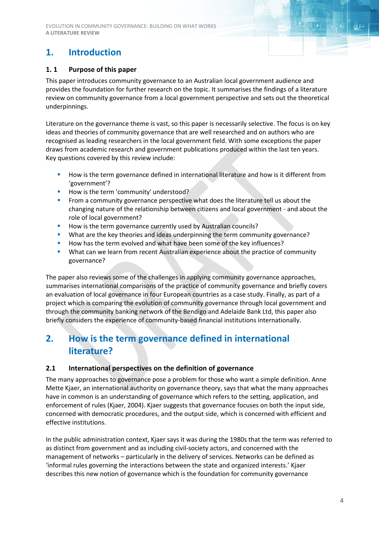EVOLUTION IN COMMUNITY GOVERNANCE: BUILDING ON WHAT WORKS **A LITERATURE REVIEW**

## <span id="page-3-0"></span>**1. Introduction**

#### <span id="page-3-1"></span>**1. 1 Purpose of this paper**

This paper introduces community governance to an Australian local government audience and provides the foundation for further research on the topic. It summarises the findings of a literature review on community governance from a local government perspective and sets out the theoretical underpinnings.

Literature on the governance theme is vast, so this paper is necessarily selective. The focus is on key ideas and theories of community governance that are well researched and on authors who are recognised as leading researchers in the local government field. With some exceptions the paper draws from academic research and government publications produced within the last ten years. Key questions covered by this review include:

- **How** is the term governance defined in international literature and how is it different from 'government'?
- How is the term 'community' understood?
- **From a community governance perspective what does the literature tell us about the** changing nature of the relationship between citizens and local government - and about the role of local government?
- How is the term governance currently used by Australian councils?
- What are the key theories and ideas underpinning the term community governance?
- How has the term evolved and what have been some of the key influences?
- What can we learn from recent Australian experience about the practice of community governance?

The paper also reviews some of the challenges in applying community governance approaches, summarises international comparisons of the practice of community governance and briefly covers an evaluation of local governance in four European countries as a case study. Finally, as part of a project which is comparing the evolution of community governance through local government and through the community banking network of the Bendigo and Adelaide Bank Ltd, this paper also briefly considers the experience of community-based financial institutions internationally.

## <span id="page-3-2"></span>**2. How is the term governance defined in international literature?**

#### <span id="page-3-3"></span>**2.1 International perspectives on the definition of governance**

The many approaches to governance pose a problem for those who want a simple definition. Anne Mette Kjaer, an international authority on governance theory, says that what the many approaches have in common is an understanding of governance which refers to the setting, application, and enforcement of rules (Kjaer, 2004). Kjaer suggests that governance focuses on both the input side, concerned with democratic procedures, and the output side, which is concerned with efficient and effective institutions.

In the public administration context, Kjaer says it was during the 1980s that the term was referred to as distinct from government and as including civil-society actors, and concerned with the management of networks – particularly in the delivery of services. Networks can be defined as 'informal rules governing the interactions between the state and organized interests.' Kjaer describes this new notion of governance which is the foundation for community governance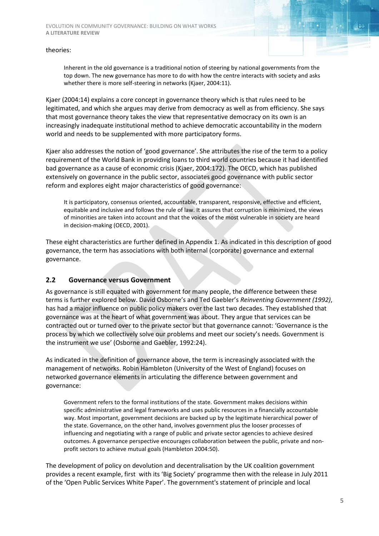Inherent in the old governance is a traditional notion of steering by national governments from the top down. The new governance has more to do with how the centre interacts with society and asks whether there is more self-steering in networks (Kjaer, 2004:11).

Kjaer (2004:14) explains a core concept in governance theory which is that rules need to be legitimated, and which she argues may derive from democracy as well as from efficiency. She says that most governance theory takes the view that representative democracy on its own is an increasingly inadequate institutional method to achieve democratic accountability in the modern world and needs to be supplemented with more participatory forms.

Kjaer also addresses the notion of 'good governance'. She attributes the rise of the term to a policy requirement of the World Bank in providing loans to third world countries because it had identified bad governance as a cause of economic crisis (Kjaer, 2004:172). The OECD, which has published extensively on governance in the public sector, associates good governance with public sector reform and explores eight major characteristics of good governance:

It is participatory, consensus oriented, accountable, transparent, responsive, effective and efficient, equitable and inclusive and follows the rule of law. It assures that corruption is minimized, the views of minorities are taken into account and that the voices of the most vulnerable in society are heard in decision-making (OECD, 2001).

These eight characteristics are further defined in Appendix 1. As indicated in this description of good governance, the term has associations with both internal (corporate) governance and external governance.

#### <span id="page-4-0"></span>**2.2 Governance versus Government**

As governance is still equated with government for many people, the difference between these terms is further explored below. David Osborne's and Ted Gaebler's *Reinventing Government (1992)*, has had a major influence on public policy makers over the last two decades. They established that governance was at the heart of what government was about. They argue that services can be contracted out or turned over to the private sector but that governance cannot: 'Governance is the process by which we collectively solve our problems and meet our society's needs. Government is the instrument we use' (Osborne and Gaebler, 1992:24).

As indicated in the definition of governance above, the term is increasingly associated with the management of networks. Robin Hambleton (University of the West of England) focuses on networked governance elements in articulating the difference between government and governance:

Government refers to the formal institutions of the state. Government makes decisions within specific administrative and legal frameworks and uses public resources in a financially accountable way. Most important, government decisions are backed up by the legitimate hierarchical power of the state. Governance, on the other hand, involves government plus the looser processes of influencing and negotiating with a range of public and private sector agencies to achieve desired outcomes. A governance perspective encourages collaboration between the public, private and nonprofit sectors to achieve mutual goals (Hambleton 2004:50).

The development of policy on devolution and decentralisation by the UK coalition government provides a recent example, first with its 'Big Society' programme then with the release in July 2011 of the 'Open Public Services White Paper'. The government's statement of principle and local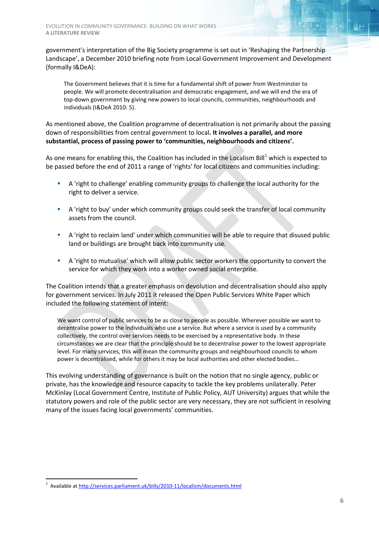government's interpretation of the Big Society programme is set out in 'Reshaping the Partnership Landscape', a December 2010 briefing note from Local Government Improvement and Development (formally I&DeA):

The Government believes that it is time for a fundamental shift of power from Westminster to people. We will promote decentralisation and democratic engagement, and we will end the era of top-down government by giving new powers to local councils, communities, neighbourhoods and individuals (I&DeA 2010: 5).

As mentioned above, the Coalition programme of decentralisation is not primarily about the passing down of responsibilities from central government to local**. It involves a parallel, and more substantial, process of passing power to 'communities, neighbourhoods and citizens'.**

As one means for enabling this, the Coalition has included in the Localism Bill<sup>[1](#page-5-0)</sup> which is expected to be passed before the end of 2011 a range of 'rights' for local citizens and communities including:

- A 'right to challenge' enabling community groups to challenge the local authority for the right to deliver a service.
- A 'right to buy' under which community groups could seek the transfer of local community assets from the council.
- A 'right to reclaim land' under which communities will be able to require that disused public land or buildings are brought back into community use.
- A 'right to mutualise' which will allow public sector workers the opportunity to convert the service for which they work into a worker owned social enterprise.

The Coalition intends that a greater emphasis on devolution and decentralisation should also apply for government services. In July 2011 it released the Open Public Services White Paper which included the following statement of intent:

We want control of public services to be as close to people as possible. Wherever possible we want to decentralise power to the individuals who use a service. But where a service is used by a community collectively, the control over services needs to be exercised by a representative body. In these circumstances we are clear that the principle should be to decentralise power to the lowest appropriate level. For many services, this will mean the community groups and neighbourhood councils to whom power is decentralised, while for others it may be local authorities and other elected bodies...

This evolving understanding of governance is built on the notion that no single agency, public or private, has the knowledge and resource capacity to tackle the key problems unilaterally. Peter McKinlay (Local Government Centre, Institute of Public Policy, AUT University) argues that while the statutory powers and role of the public sector are very necessary, they are not sufficient in resolving many of the issues facing local governments' communities.

<span id="page-5-0"></span> $\frac{1}{1}$ <sup>1</sup> Available at<http://services.parliament.uk/bills/2010-11/localism/documents.html>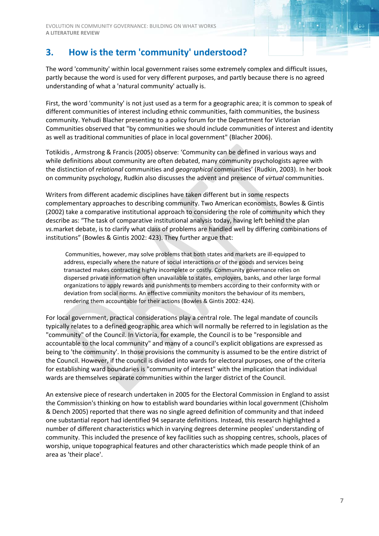## <span id="page-6-0"></span>**3. How is the term 'community' understood?**

The word 'community' within local government raises some extremely complex and difficult issues, partly because the word is used for very different purposes, and partly because there is no agreed understanding of what a 'natural community' actually is.

First, the word 'community' is not just used as a term for a geographic area; it is common to speak of different communities of interest including ethnic communities, faith communities, the business community. Yehudi Blacher presenting to a policy forum for the Department for Victorian Communities observed that "by communities we should include communities of interest and identity as well as traditional communities of place in local government" (Blacher 2006).

Totikidis , Armstrong & Francis (2005) observe: 'Community can be defined in various ways and while definitions about community are often debated, many community psychologists agree with the distinction of *relational* communities and *geographical* communities' (Rudkin, 2003). In her book on community psychology, Rudkin also discusses the advent and presence of *virtual* communities.

Writers from different academic disciplines have taken different but in some respects complementary approaches to describing community. Two American economists, Bowles & Gintis (2002) take a comparative institutional approach to considering the role of community which they describe as: "The task of comparative institutional analysis today, having left behind the plan *vs.*market debate, is to clarify what class of problems are handled well by differing combinations of institutions" (Bowles & Gintis 2002: 423). They further argue that:

Communities, however, may solve problems that both states and markets are ill-equipped to address, especially where the nature of social interactions or of the goods and services being transacted makes contracting highly incomplete or costly. Community governance relies on dispersed private information often unavailable to states, employers, banks, and other large formal organizations to apply rewards and punishments to members according to their conformity with or deviation from social norms. An effective community monitors the behaviour of its members, rendering them accountable for their actions (Bowles & Gintis 2002: 424).

For local government, practical considerations play a central role. The legal mandate of councils typically relates to a defined geographic area which will normally be referred to in legislation as the "community" of the Council. In Victoria, for example, the Council is to be "responsible and accountable to the local community" and many of a council's explicit obligations are expressed as being to 'the community'. In those provisions the community is assumed to be the entire district of the Council. However, if the council is divided into wards for electoral purposes, one of the criteria for establishing ward boundaries is "community of interest" with the implication that individual wards are themselves separate communities within the larger district of the Council.

An extensive piece of research undertaken in 2005 for the Electoral Commission in England to assist the Commission's thinking on how to establish ward boundaries within local government (Chisholm & Dench 2005) reported that there was no single agreed definition of community and that indeed one substantial report had identified 94 separate definitions. Instead, this research highlighted a number of different characteristics which in varying degrees determine peoples' understanding of community. This included the presence of key facilities such as shopping centres, schools, places of worship, unique topographical features and other characteristics which made people think of an area as 'their place'.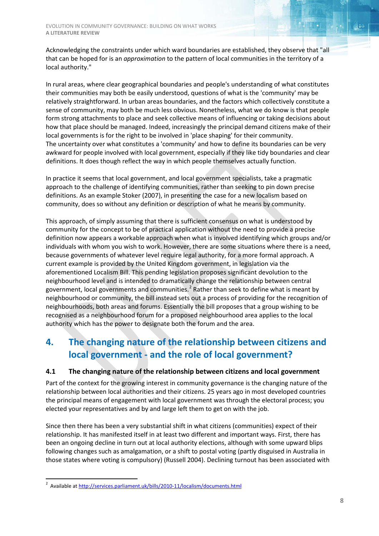Acknowledging the constraints under which ward boundaries are established, they observe that "all that can be hoped for is an *approximation* to the pattern of local communities in the territory of a local authority."

In rural areas, where clear geographical boundaries and people's understanding of what constitutes their communities may both be easily understood, questions of what is the 'community' may be relatively straightforward. In urban areas boundaries, and the factors which collectively constitute a sense of community, may both be much less obvious. Nonetheless, what we do know is that people form strong attachments to place and seek collective means of influencing or taking decisions about how that place should be managed. Indeed, increasingly the principal demand citizens make of their local governments is for the right to be involved in 'place shaping' for their community. The uncertainty over what constitutes a 'community' and how to define its boundaries can be very awkward for people involved with local government, especially if they like tidy boundaries and clear definitions. It does though reflect the way in which people themselves actually function.

In practice it seems that local government, and local government specialists, take a pragmatic approach to the challenge of identifying communities, rather than seeking to pin down precise definitions. As an example Stoker (2007), in presenting the case for a new localism based on community, does so without any definition or description of what he means by community.

This approach, of simply assuming that there is sufficient consensus on what is understood by community for the concept to be of practical application without the need to provide a precise definition now appears a workable approach when what is involved identifying which groups and/or individuals with whom you wish to work. However, there are some situations where there is a need, because governments of whatever level require legal authority, for a more formal approach. A current example is provided by the United Kingdom government, in legislation via the aforementioned Localism Bill. This pending legislation proposes significant devolution to the neighbourhood level and is intended to dramatically change the relationship between central government, local governments and communities.<sup>[2](#page-7-2)</sup> Rather than seek to define what is meant by neighbourhood or community, the bill instead sets out a process of providing for the recognition of neighbourhoods, both areas and forums. Essentially the bill proposes that a group wishing to be recognised as a neighbourhood forum for a proposed neighbourhood area applies to the local authority which has the power to designate both the forum and the area.

## <span id="page-7-0"></span>**4. The changing nature of the relationship between citizens and local government - and the role of local government?**

#### <span id="page-7-1"></span>**4.1 The changing nature of the relationship between citizens and local government**

Part of the context for the growing interest in community governance is the changing nature of the relationship between local authorities and their citizens. 25 years ago in most developed countries the principal means of engagement with local government was through the electoral process; you elected your representatives and by and large left them to get on with the job.

Since then there has been a very substantial shift in what citizens (communities) expect of their relationship. It has manifested itself in at least two different and important ways. First, there has been an ongoing decline in turn out at local authority elections, although with some upward blips following changes such as amalgamation, or a shift to postal voting (partly disguised in Australia in those states where voting is compulsory) (Russell 2004). Declining turnout has been associated with

<span id="page-7-2"></span> $\frac{1}{2}$ <sup>2</sup> Available at<http://services.parliament.uk/bills/2010-11/localism/documents.html>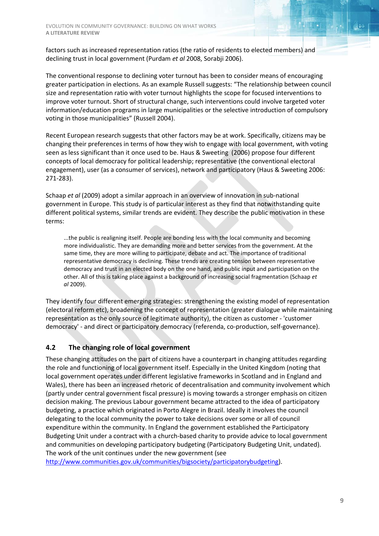factors such as increased representation ratios (the ratio of residents to elected members) and declining trust in local government (Purdam *et al* 2008, Sorabji 2006).

The conventional response to declining voter turnout has been to consider means of encouraging greater participation in elections. As an example Russell suggests: "The relationship between council size and representation ratio with voter turnout highlights the scope for focused interventions to improve voter turnout. Short of structural change, such interventions could involve targeted voter information/education programs in large municipalities or the selective introduction of compulsory voting in those municipalities" (Russell 2004).

Recent European research suggests that other factors may be at work. Specifically, citizens may be changing their preferences in terms of how they wish to engage with local government, with voting seen as less significant than it once used to be. Haus & Sweeting (2006) propose four different concepts of local democracy for political leadership; representative (the conventional electoral engagement), user (as a consumer of services), network and participatory (Haus & Sweeting 2006: 271-283).

Schaap *et al* (2009) adopt a similar approach in an overview of innovation in sub-national government in Europe. This study is of particular interest as they find that notwithstanding quite different political systems, similar trends are evident. They describe the public motivation in these terms:

...the public is realigning itself. People are bonding less with the local community and becoming more individualistic. They are demanding more and better services from the government. At the same time, they are more willing to participate, debate and act. The importance of traditional representative democracy is declining. These trends are creating tension between representative democracy and trust in an elected body on the one hand, and public input and participation on the other. All of this is taking place against a background of increasing social fragmentation (Schaap *et al* 2009).

They identify four different emerging strategies: strengthening the existing model of representation (electoral reform etc), broadening the concept of representation (greater dialogue while maintaining representation as the only source of legitimate authority), the citizen as customer - 'customer democracy' - and direct or participatory democracy (referenda, co-production, self-governance).

#### <span id="page-8-0"></span>**4.2 The changing role of local government**

These changing attitudes on the part of citizens have a counterpart in changing attitudes regarding the role and functioning of local government itself. Especially in the United Kingdom (noting that local government operates under different legislative frameworks in Scotland and in England and Wales), there has been an increased rhetoric of decentralisation and community involvement which (partly under central government fiscal pressure) is moving towards a stronger emphasis on citizen decision making. The previous Labour government became attracted to the idea of participatory budgeting, a practice which originated in Porto Alegre in Brazil. Ideally it involves the council delegating to the local community the power to take decisions over some or all of council expenditure within the community. In England the government established the Participatory Budgeting Unit under a contract with a church-based charity to provide advice to local government and communities on developing participatory budgeting (Participatory Budgeting Unit, undated). The work of the unit continues under the new government (see

[http://www.communities.gov.uk/communities/bigsociety/participatorybudgeting\)](http://www.communities.gov.uk/communities/bigsociety/participatorybudgeting).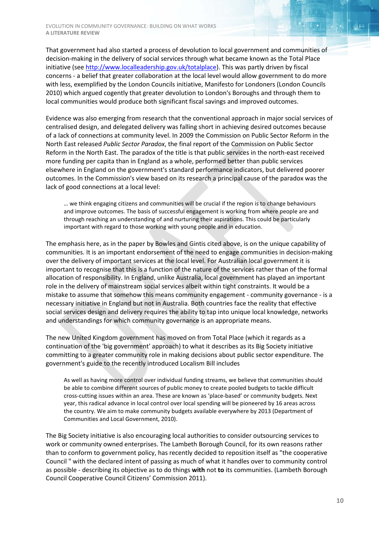That government had also started a process of devolution to local government and communities of decision-making in the delivery of social services through what became known as the Total Place initiative (se[e http://www.localleadership.gov.uk/totalplace\)](http://www.localleadership.gov.uk/totalplace). This was partly driven by fiscal concerns - a belief that greater collaboration at the local level would allow government to do more with less, exemplified by the London Councils initiative, Manifesto for Londoners (London Councils 2010) which argued cogently that greater devolution to London's Boroughs and through them to local communities would produce both significant fiscal savings and improved outcomes.

Evidence was also emerging from research that the conventional approach in major social services of centralised design, and delegated delivery was falling short in achieving desired outcomes because of a lack of connections at community level. In 2009 the Commission on Public Sector Reform in the North East released *Public Sector Paradox*, the final report of the Commission on Public Sector Reform in the North East. The paradox of the title is that public services in the north-east received more funding per capita than in England as a whole, performed better than public services elsewhere in England on the government's standard performance indicators, but delivered poorer outcomes. In the Commission's view based on its research a principal cause of the paradox was the lack of good connections at a local level:

… we think engaging citizens and communities will be crucial if the region is to change behaviours and improve outcomes. The basis of successful engagement is working from where people are and through reaching an understanding of and nurturing their aspirations. This could be particularly important with regard to those working with young people and in education.

The emphasis here, as in the paper by Bowles and Gintis cited above, is on the unique capability of communities. It is an important endorsement of the need to engage communities in decision-making over the delivery of important services at the local level. For Australian local government it is important to recognise that this is a function of the nature of the services rather than of the formal allocation of responsibility. In England, unlike Australia, local government has played an important role in the delivery of mainstream social services albeit within tight constraints. It would be a mistake to assume that somehow this means community engagement - community governance - is a necessary initiative in England but not in Australia. Both countries face the reality that effective social services design and delivery requires the ability to tap into unique local knowledge, networks and understandings for which community governance is an appropriate means.

The new United Kingdom government has moved on from Total Place (which it regards as a continuation of the 'big government' approach) to what it describes as its Big Society initiative committing to a greater community role in making decisions about public sector expenditure. The government's guide to the recently introduced Localism Bill includes

As well as having more control over individual funding streams, we believe that communities should be able to combine different sources of public money to create pooled budgets to tackle difficult cross-cutting issues within an area. These are known as 'place-based' or community budgets. Next year, this radical advance in local control over local spending will be pioneered by 16 areas across the country. We aim to make community budgets available everywhere by 2013 (Department of Communities and Local Government, 2010).

The Big Society initiative is also encouraging local authorities to consider outsourcing services to work or community owned enterprises. The Lambeth Borough Council, for its own reasons rather than to conform to government policy, has recently decided to reposition itself as "the cooperative Council " with the declared intent of passing as much of what it handles over to community control as possible - describing its objective as to do things **with** not **to** its communities. (Lambeth Borough Council Cooperative Council Citizens' Commission 2011).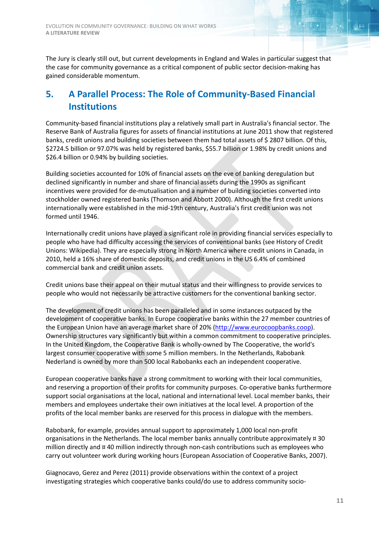The Jury is clearly still out, but current developments in England and Wales in particular suggest that the case for community governance as a critical component of public sector decision-making has gained considerable momentum.

## <span id="page-10-0"></span>**5. A Parallel Process: The Role of Community-Based Financial Institutions**

Community-based financial institutions play a relatively small part in Australia's financial sector. The Reserve Bank of Australia figures for assets of financial institutions at June 2011 show that registered banks, credit unions and building societies between them had total assets of \$ 2807 billion. Of this, \$2724.5 billion or 97.07% was held by registered banks, \$55.7 billion or 1.98% by credit unions and \$26.4 billion or 0.94% by building societies.

Building societies accounted for 10% of financial assets on the eve of banking deregulation but declined significantly in number and share of financial assets during the 1990s as significant incentives were provided for de-mutualisation and a number of building societies converted into stockholder owned registered banks (Thomson and Abbott 2000). Although the first credit unions internationally were established in the mid-19th century, Australia's first credit union was not formed until 1946.

Internationally credit unions have played a significant role in providing financial services especially to people who have had difficulty accessing the services of conventional banks (see History of Credit Unions: Wikipedia). They are especially strong in North America where credit unions in Canada, in 2010, held a 16% share of domestic deposits, and credit unions in the US 6.4% of combined commercial bank and credit union assets.

Credit unions base their appeal on their mutual status and their willingness to provide services to people who would not necessarily be attractive customers for the conventional banking sector.

The development of credit unions has been paralleled and in some instances outpaced by the development of cooperative banks. In Europe cooperative banks within the 27 member countries of the European Union have an average market share of 20% [\(http://www.eurocoopbanks.coop\)](http://www.eurocoopbanks.coop/). Ownership structures vary significantly but within a common commitment to cooperative principles. In the United Kingdom, the Cooperative Bank is wholly-owned by The Cooperative, the world's largest consumer cooperative with some 5 million members. In the Netherlands, Rabobank Nederland is owned by more than 500 local Rabobanks each an independent cooperative.

European cooperative banks have a strong commitment to working with their local communities, and reserving a proportion of their profits for community purposes. Co-operative banks furthermore support social organisations at the local, national and international level. Local member banks, their members and employees undertake their own initiatives at the local level. A proportion of the profits of the local member banks are reserved for this process in dialogue with the members.

Rabobank, for example, provides annual support to approximately 1,000 local non-profit organisations in the Netherlands. The local member banks annually contribute approximately ¤ 30 million directly and ¤ 40 million indirectly through non-cash contributions such as employees who carry out volunteer work during working hours (European Association of Cooperative Banks, 2007).

Giagnocavo, Gerez and Perez (2011) provide observations within the context of a project investigating strategies which cooperative banks could/do use to address community socio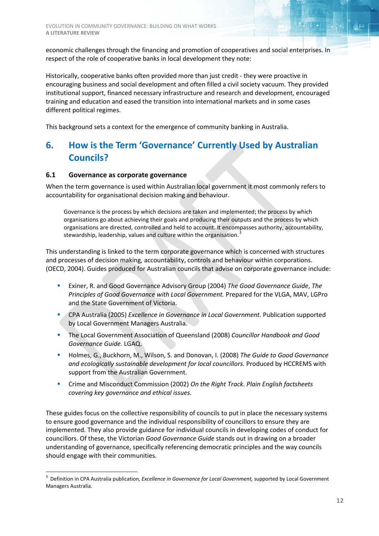economic challenges through the financing and promotion of cooperatives and social enterprises. In respect of the role of cooperative banks in local development they note:

Historically, cooperative banks often provided more than just credit - they were proactive in encouraging business and social development and often filled a civil society vacuum. They provided institutional support, financed necessary infrastructure and research and development, encouraged training and education and eased the transition into international markets and in some cases different political regimes.

<span id="page-11-0"></span>This background sets a context for the emergence of community banking in Australia.

## **6. How is the Term 'Governance' Currently Used by Australian Councils?**

#### <span id="page-11-1"></span>**6.1 Governance as corporate governance**

When the term governance is used within Australian local government it most commonly refers to accountability for organisational decision making and behaviour.

Governance is the process by which decisions are taken and implemented; the process by which organisations go about achieving their goals and producing their outputs and the process by which organisations are directed, controlled and held to account. It encompasses authority, accountability, stewardship, leadership, values and culture within the organisation.<sup>[3](#page-11-2)</sup>

This understanding is linked to the term corporate governance which is concerned with structures and processes of decision making, accountability, controls and behaviour within corporations. (OECD, 2004). Guides produced for Australian councils that advise on corporate governance include:

- Exiner, R. and Good Governance Advisory Group (2004) *The Good Governance Guide*, *The Principles of Good Governance with Local Government.* Prepared for the VLGA, MAV, LGPro and the State Government of Victoria.
- CPA Australia (2005) *Excellence in Governance in Local Government.* Publication supported by Local Government Managers Australia.
- The Local Government Association of Queensland (2008) *Councillor Handbook and Good Governance Guide.* LGAQ.
- Holmes, G., Buckhorn, M., Wilson, S. and Donovan, I. (2008) *The Guide to Good Governance and ecologically sustainable development for local councillors.* Produced by HCCREMS with support from the Australian Government.
- Crime and Misconduct Commission (2002) *On the Right Track. Plain English factsheets covering key governance and ethical issues.*

These guides focus on the collective responsibility of councils to put in place the necessary systems to ensure good governance and the individual responsibility of councillors to ensure they are implemented. They also provide guidance for individual councils in developing codes of conduct for councillors. Of these, the Victorian *Good Governance Guide* stands out in drawing on a broader understanding of governance, specifically referencing democratic principles and the way councils should engage with their communities.

<span id="page-11-2"></span> $\frac{1}{3}$  Definition in CPA Australia publication, *Excellence in Governance for Local Government,* supported by Local Government Managers Australia.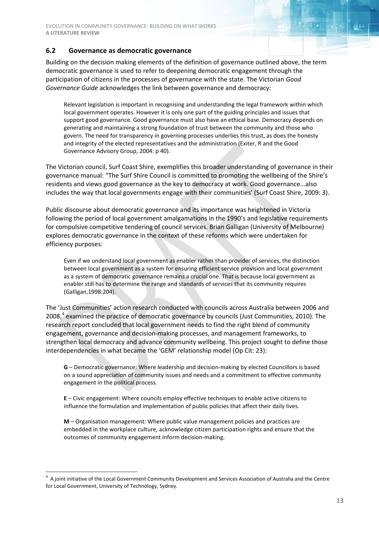#### <span id="page-12-0"></span>**6.2 Governance as democratic governance**

Building on the decision making elements of the definition of governance outlined above, the term democratic governance is used to refer to deepening democratic engagement through the participation of citizens in the processes of governance with the state. The Victorian *Good Governance Guide* acknowledges the link between governance and democracy:

Relevant legislation is important in recognising and understanding the legal framework within which local government operates. However it is only one part of the guiding principles and issues that support good governance. Good governance must also have an ethical base. Democracy depends on generating and maintaining a strong foundation of trust between the community and those who govern. The need for transparency in governing processes underlies this trust, as does the honesty and integrity of the elected representatives and the administration (Exiter, R and the Good Governance Advisory Group, 2004: p 40).

The Victorian council, Surf Coast Shire, exemplifies this broader understanding of governance in their governance manual: "The Surf Shire Council is committed to promoting the wellbeing of the Shire's residents and views good governance as the key to democracy at work. Good governance...also includes the way that local governments engage with their communities' (Surf Coast Shire, 2009: 3).

Public discourse about democratic governance and its importance was heightened in Victoria following the period of local government amalgamations in the 1990's and legislative requirements for compulsive competitive tendering of council services. Brian Galligan (University of Melbourne) explores democratic governance in the context of these reforms which were undertaken for efficiency purposes:

Even if we understand local government as enabler rather than provider of services, the distinction between local government as a system for ensuring efficient service provision and local government as a system of democratic governance remains a crucial one. That is because local government as enabler still has to determine the range and standards of services that its community requires (Galligan,1998:204).

The 'Just Communities' action research conducted with councils across Australia between 2006 and  $2008<sup>4</sup>$  $2008<sup>4</sup>$  $2008<sup>4</sup>$  examined the practice of democratic governance by councils (Just Communities, 2010). The research report concluded that local government needs to find the right blend of community engagement, governance and decision-making processes, and management frameworks, to strengthen local democracy and advance community wellbeing. This project sought to define those interdependencies in what became the 'GEM' relationship model (Op Cit: 23):

**G** – Democratic governance: Where leadership and decision-making by elected Councillors is based on a sound appreciation of community issues and needs and a commitment to effective community engagement in the political process.

**E** – Civic engagement: Where councils employ effective techniques to enable active citizens to influence the formulation and implementation of public policies that affect their daily lives.

**M** – Organisation management: Where public value management policies and practices are embedded in the workplace culture, acknowledge citizen participation rights and ensure that the outcomes of community engagement inform decision-making.

<span id="page-12-1"></span> $\frac{1}{4}$ <sup>4</sup> A joint initiative of the Local Government Community Development and Services Association of Australia and the Centre for Local Government, University of Technology, Sydney.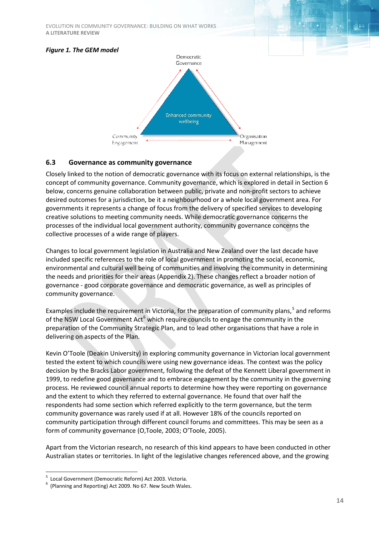EVOLUTION IN COMMUNITY GOVERNANCE: BUILDING ON WHAT WORKS **A LITERATURE REVIEW**

#### *Figure 1. The GEM model*



#### <span id="page-13-0"></span>**6.3 Governance as community governance**

Closely linked to the notion of democratic governance with its focus on external relationships, is the concept of community governance. Community governance, which is explored in detail in Section 6 below, concerns genuine collaboration between public, private and non-profit sectors to achieve desired outcomes for a jurisdiction, be it a neighbourhood or a whole local government area. For governments it represents a change of focus from the delivery of specified services to developing creative solutions to meeting community needs. While democratic governance concerns the processes of the individual local government authority, community governance concerns the collective processes of a wide range of players.

Changes to local government legislation in Australia and New Zealand over the last decade have included specific references to the role of local government in promoting the social, economic, environmental and cultural well being of communities and involving the community in determining the needs and priorities for their areas (Appendix 2). These changes reflect a broader notion of governance - good corporate governance and democratic governance, as well as principles of community governance.

Examples include the requirement in Victoria, for the preparation of community plans,<sup>[5](#page-13-1)</sup> and reforms of the NSW Local Government  $Act^6$  $Act^6$  which require councils to engage the community in the preparation of the Community Strategic Plan, and to lead other organisations that have a role in delivering on aspects of the Plan.

Kevin O'Toole (Deakin University) in exploring community governance in Victorian local government tested the extent to which councils were using new governance ideas. The context was the policy decision by the Bracks Labor government, following the defeat of the Kennett Liberal government in 1999, to redefine good governance and to embrace engagement by the community in the governing process. He reviewed council annual reports to determine how they were reporting on governance and the extent to which they referred to external governance. He found that over half the respondents had some section which referred explicitly to the term governance, but the term community governance was rarely used if at all. However 18% of the councils reported on community participation through different council forums and committees. This may be seen as a form of community governance (O,Toole, 2003; O'Toole, 2005).

Apart from the Victorian research, no research of this kind appears to have been conducted in other Australian states or territories. In light of the legislative changes referenced above, and the growing

<sup>-&</sup>lt;br>5 <sup>5</sup> Local Government (Democratic Reform) Act 2003. Victoria.

<span id="page-13-2"></span><span id="page-13-1"></span> $6$  (Planning and Reporting) Act 2009. No 67. New South Wales.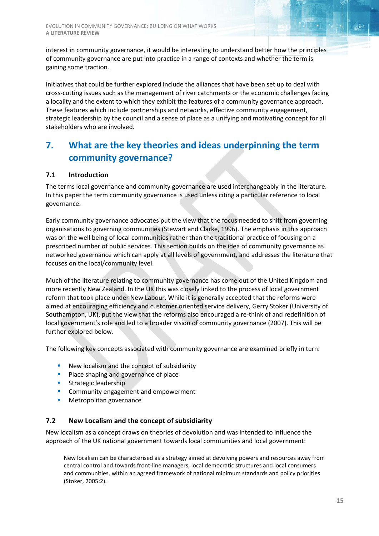interest in community governance, it would be interesting to understand better how the principles of community governance are put into practice in a range of contexts and whether the term is gaining some traction.

Initiatives that could be further explored include the alliances that have been set up to deal with cross-cutting issues such as the management of river catchments or the economic challenges facing a locality and the extent to which they exhibit the features of a community governance approach. These features which include partnerships and networks, effective community engagement, strategic leadership by the council and a sense of place as a unifying and motivating concept for all stakeholders who are involved.

## <span id="page-14-0"></span>**7. What are the key theories and ideas underpinning the term community governance?**

#### <span id="page-14-1"></span>**7.1 Introduction**

The terms local governance and community governance are used interchangeably in the literature. In this paper the term community governance is used unless citing a particular reference to local governance.

Early community governance advocates put the view that the focus needed to shift from governing organisations to governing communities (Stewart and Clarke, 1996). The emphasis in this approach was on the well being of local communities rather than the traditional practice of focusing on a prescribed number of public services. This section builds on the idea of community governance as networked governance which can apply at all levels of government, and addresses the literature that focuses on the local/community level.

Much of the literature relating to community governance has come out of the United Kingdom and more recently New Zealand. In the UK this was closely linked to the process of local government reform that took place under New Labour. While it is generally accepted that the reforms were aimed at encouraging efficiency and customer oriented service delivery, Gerry Stoker (University of Southampton, UK), put the view that the reforms also encouraged a re-think of and redefinition of local government's role and led to a broader vision of community governance (2007). This will be further explored below.

The following key concepts associated with community governance are examined briefly in turn:

- New localism and the concept of subsidiarity
- **Place shaping and governance of place**
- **Strategic leadership**
- **Community engagement and empowerment**
- Metropolitan governance

#### <span id="page-14-2"></span>**7.2 New Localism and the concept of subsidiarity**

New localism as a concept draws on theories of devolution and was intended to influence the approach of the UK national government towards local communities and local government:

New localism can be characterised as a strategy aimed at devolving powers and resources away from central control and towards front-line managers, local democratic structures and local consumers and communities, within an agreed framework of national minimum standards and policy priorities (Stoker, 2005:2).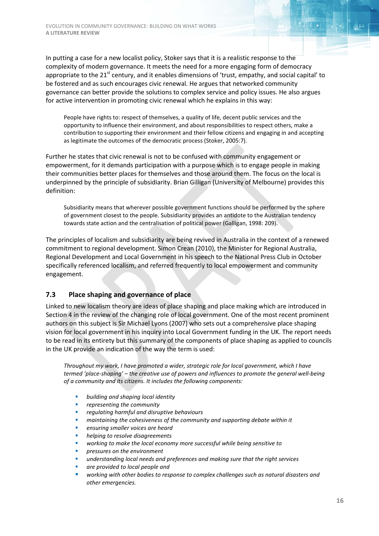In putting a case for a new localist policy, Stoker says that it is a realistic response to the complexity of modern governance. It meets the need for a more engaging form of democracy appropriate to the 21<sup>st</sup> century, and it enables dimensions of 'trust, empathy, and social capital' to be fostered and as such encourages civic renewal. He argues that networked community governance can better provide the solutions to complex service and policy issues. He also argues for active intervention in promoting civic renewal which he explains in this way:

People have rights to: respect of themselves, a quality of life, decent public services and the opportunity to influence their environment, and about responsibilities to respect others, make a contribution to supporting their environment and their fellow citizens and engaging in and accepting as legitimate the outcomes of the democratic process (Stoker, 2005:7).

Further he states that civic renewal is not to be confused with community engagement or empowerment, for it demands participation with a purpose which is to engage people in making their communities better places for themselves and those around them. The focus on the local is underpinned by the principle of subsidiarity. Brian Gilligan (University of Melbourne) provides this definition:

Subsidiarity means that wherever possible government functions should be performed by the sphere of government closest to the people. Subsidiarity provides an antidote to the Australian tendency towards state action and the centralisation of political power (Galligan, 1998: 209).

The principles of localism and subsidiarity are being revived in Australia in the context of a renewed commitment to regional development. Simon Crean (2010), the Minister for Regional Australia, Regional Development and Local Government in his speech to the National Press Club in October specifically referenced localism, and referred frequently to local empowerment and community engagement.

#### <span id="page-15-0"></span>**7.3 Place shaping and governance of place**

Linked to new localism theory are ideas of place shaping and place making which are introduced in Section 4 in the review of the changing role of local government. One of the most recent prominent authors on this subject is Sir Michael Lyons (2007) who sets out a comprehensive place shaping vision for local government in his inquiry into Local Government funding in the UK. The report needs to be read in its entirety but this summary of the components of place shaping as applied to councils in the UK provide an indication of the way the term is used:

*Throughout my work, I have promoted a wider, strategic role for local government, which I have termed 'place-shaping' – the creative use of powers and influences to promote the general well-being of a community and its citizens. It includes the following components:*

- *building and shaping local identity*
- *representing the community*
- *regulating harmful and disruptive behaviours*
- *maintaining the cohesiveness of the community and supporting debate within it*
- *ensuring smaller voices are heard*
- *helping to resolve disagreements*
- *working to make the local economy more successful while being sensitive to*
- *pressures on the environment*
- *understanding local needs and preferences and making sure that the right services*
- *are provided to local people and*
- *working with other bodies to response to complex challenges such as natural disasters and other emergencies.*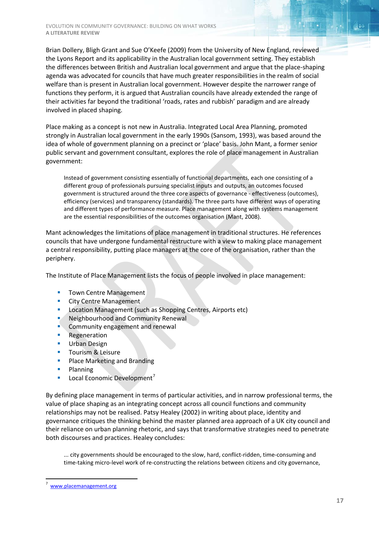Brian Dollery, Bligh Grant and Sue O'Keefe (2009) from the University of New England, reviewed the Lyons Report and its applicability in the Australian local government setting. They establish the differences between British and Australian local government and argue that the place-shaping agenda was advocated for councils that have much greater responsibilities in the realm of social welfare than is present in Australian local government. However despite the narrower range of functions they perform, it is argued that Australian councils have already extended the range of their activities far beyond the traditional 'roads, rates and rubbish' paradigm and are already involved in placed shaping.

Place making as a concept is not new in Australia. Integrated Local Area Planning, promoted strongly in Australian local government in the early 1990s (Sansom, 1993), was based around the idea of whole of government planning on a precinct or 'place' basis. John Mant, a former senior public servant and government consultant, explores the role of place management in Australian government:

Instead of government consisting essentially of functional departments, each one consisting of a different group of professionals pursuing specialist inputs and outputs, an outcomes focused government is structured around the three core aspects of governance - effectiveness (outcomes), efficiency (services) and transparency (standards). The three parts have different ways of operating and different types of performance measure. Place management along with systems management are the essential responsibilities of the outcomes organisation (Mant, 2008).

Mant acknowledges the limitations of place management in traditional structures. He references councils that have undergone fundamental restructure with a view to making place management a central responsibility, putting place managers at the core of the organisation, rather than the periphery.

The Institute of Place Management lists the focus of people involved in place management:

- **Town Centre Management**
- **City Centre Management**
- **Location Management (such as Shopping Centres, Airports etc)**
- **Neighbourhood and Community Renewal**
- **Community engagement and renewal**
- **Regeneration**
- **Urban Design**
- **Tourism & Leisure**
- **Place Marketing and Branding**
- **Planning**
- **Local Economic Development**<sup>[7](#page-16-0)</sup>

By defining place management in terms of particular activities, and in narrow professional terms, the value of place shaping as an integrating concept across all council functions and community relationships may not be realised. Patsy Healey (2002) in writing about place, identity and governance critiques the thinking behind the master planned area approach of a UK city council and their reliance on urban planning rhetoric, and says that transformative strategies need to penetrate both discourses and practices. Healey concludes:

... city governments should be encouraged to the slow, hard, conflict-ridden, time-consuming and time-taking micro-level work of re-constructing the relations between citizens and city governance,

<span id="page-16-0"></span> $\frac{1}{7}$  [www.placemanagement.org](http://www.placemanagement.org/)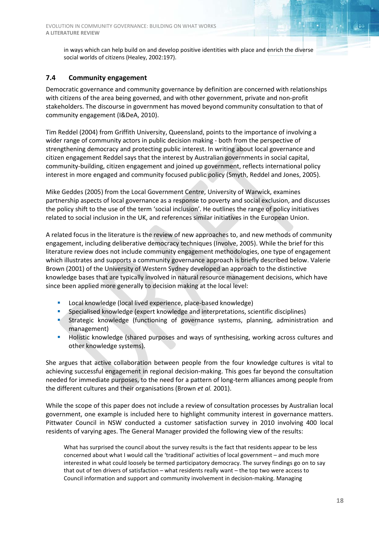in ways which can help build on and develop positive identities with place and enrich the diverse social worlds of citizens (Healey, 2002:197).

#### <span id="page-17-0"></span>**7.4 Community engagement**

Democratic governance and community governance by definition are concerned with relationships with citizens of the area being governed, and with other government, private and non-profit stakeholders. The discourse in government has moved beyond community consultation to that of community engagement (I&DeA, 2010).

Tim Reddel (2004) from Griffith University, Queensland, points to the importance of involving a wider range of community actors in public decision making - both from the perspective of strengthening democracy and protecting public interest. In writing about local governance and citizen engagement Reddel says that the interest by Australian governments in social capital, community-building, citizen engagement and joined up government, reflects international policy interest in more engaged and community focused public policy (Smyth, Reddel and Jones, 2005).

Mike Geddes (2005) from the Local Government Centre, University of Warwick, examines partnership aspects of local governance as a response to poverty and social exclusion, and discusses the policy shift to the use of the term 'social inclusion'. He outlines the range of policy initiatives related to social inclusion in the UK, and references similar initiatives in the European Union.

A related focus in the literature is the review of new approaches to, and new methods of community engagement, including deliberative democracy techniques (Involve, 2005). While the brief for this literature review does not include community engagement methodologies, one type of engagement which illustrates and supports a community governance approach is briefly described below. Valerie Brown (2001) of the University of Western Sydney developed an approach to the distinctive knowledge bases that are typically involved in natural resource management decisions, which have since been applied more generally to decision making at the local level:

- Local knowledge (local lived experience, place-based knowledge)
- Specialised knowledge (expert knowledge and interpretations, scientific disciplines)
- Strategic knowledge (functioning of governance systems, planning, administration and management)
- **Holistic knowledge (shared purposes and ways of synthesising, working across cultures and** other knowledge systems).

She argues that active collaboration between people from the four knowledge cultures is vital to achieving successful engagement in regional decision-making. This goes far beyond the consultation needed for immediate purposes, to the need for a pattern of long-term alliances among people from the different cultures and their organisations (Brown *et al.* 2001).

While the scope of this paper does not include a review of consultation processes by Australian local government, one example is included here to highlight community interest in governance matters. Pittwater Council in NSW conducted a customer satisfaction survey in 2010 involving 400 local residents of varying ages. The General Manager provided the following view of the results:

What has surprised the council about the survey results is the fact that residents appear to be less concerned about what I would call the 'traditional' activities of local government – and much more interested in what could loosely be termed participatory democracy. The survey findings go on to say that out of ten drivers of satisfaction – what residents really want – the top two were access to Council information and support and community involvement in decision-making. Managing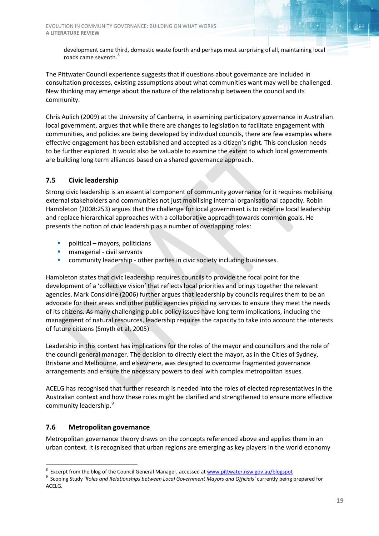development came third, domestic waste fourth and perhaps most surprising of all, maintaining local roads came seventh.<sup>[8](#page-18-2)</sup>

The Pittwater Council experience suggests that if questions about governance are included in consultation processes, existing assumptions about what communities want may well be challenged. New thinking may emerge about the nature of the relationship between the council and its community.

Chris Aulich (2009) at the University of Canberra, in examining participatory governance in Australian local government, argues that while there are changes to legislation to facilitate engagement with communities, and policies are being developed by individual councils, there are few examples where effective engagement has been established and accepted as a citizen's right. This conclusion needs to be further explored. It would also be valuable to examine the extent to which local governments are building long term alliances based on a shared governance approach.

#### <span id="page-18-0"></span>**7.5 Civic leadership**

Strong civic leadership is an essential component of community governance for it requires mobilising external stakeholders and communities not just mobilising internal organisational capacity. Robin Hambleton (2008:253) argues that the challenge for local government is to redefine local leadership and replace hierarchical approaches with a collaborative approach towards common goals. He presents the notion of civic leadership as a number of overlapping roles:

- political mayors, politicians
- **nanagerial civil servants**
- **EXECOMMUNITY COMMUNITY IS A LOCAL EXECUTE:** community leadership other parties in civic society including businesses.

Hambleton states that civic leadership requires councils to provide the focal point for the development of a 'collective vision' that reflects local priorities and brings together the relevant agencies. Mark Considine (2006) further argues that leadership by councils requires them to be an advocate for their areas and other public agencies providing services to ensure they meet the needs of its citizens. As many challenging public policy issues have long term implications, including the management of natural resources, leadership requires the capacity to take into account the interests of future citizens (Smyth et al, 2005).

Leadership in this context has implications for the roles of the mayor and councillors and the role of the council general manager. The decision to directly elect the mayor, as in the Cities of Sydney, Brisbane and Melbourne, and elsewhere, was designed to overcome fragmented governance arrangements and ensure the necessary powers to deal with complex metropolitan issues.

ACELG has recognised that further research is needed into the roles of elected representatives in the Australian context and how these roles might be clarified and strengthened to ensure more effective community leadership.<sup>[9](#page-18-3)</sup>

#### <span id="page-18-1"></span>**7.6 Metropolitan governance**

Metropolitan governance theory draws on the concepts referenced above and applies them in an urban context. It is recognised that urban regions are emerging as key players in the world economy

 $\frac{1}{8}$ <sup>8</sup> Excerpt from the blog of the Council General Manager, accessed a[t www.pittwater.nsw.gov.au/blogspot](http://www.pittwater.nsw.gov.au/blogspot)

<span id="page-18-3"></span><span id="page-18-2"></span><sup>&</sup>lt;sup>9</sup> Scoping Study 'Roles and Relationships between Local Government Mayors and Officials' currently being prepared for ACELG.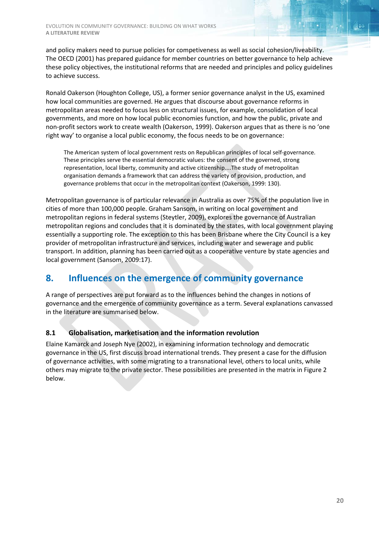and policy makers need to pursue policies for competiveness as well as social cohesion/liveability. The OECD (2001) has prepared guidance for member countries on better governance to help achieve these policy objectives, the institutional reforms that are needed and principles and policy guidelines to achieve success.

Ronald Oakerson (Houghton College, US), a former senior governance analyst in the US, examined how local communities are governed. He argues that discourse about governance reforms in metropolitan areas needed to focus less on structural issues, for example, consolidation of local governments, and more on how local public economies function, and how the public, private and non-profit sectors work to create wealth (Oakerson, 1999). Oakerson argues that as there is no 'one right way' to organise a local public economy, the focus needs to be on governance:

The American system of local government rests on Republican principles of local self-governance. These principles serve the essential democratic values: the consent of the governed, strong representation, local liberty, community and active citizenship....The study of metropolitan organisation demands a framework that can address the variety of provision, production, and governance problems that occur in the metropolitan context (Oakerson, 1999: 130).

Metropolitan governance is of particular relevance in Australia as over 75% of the population live in cities of more than 100,000 people. Graham Sansom, in writing on local government and metropolitan regions in federal systems (Steytler, 2009), explores the governance of Australian metropolitan regions and concludes that it is dominated by the states, with local government playing essentially a supporting role. The exception to this has been Brisbane where the City Council is a key provider of metropolitan infrastructure and services, including water and sewerage and public transport. In addition, planning has been carried out as a cooperative venture by state agencies and local government (Sansom, 2009:17).

## <span id="page-19-0"></span>**8. Influences on the emergence of community governance**

A range of perspectives are put forward as to the influences behind the changes in notions of governance and the emergence of community governance as a term. Several explanations canvassed in the literature are summarised below.

#### <span id="page-19-1"></span>**8.1 Globalisation, marketisation and the information revolution**

Elaine Kamarck and Joseph Nye (2002), in examining information technology and democratic governance in the US, first discuss broad international trends. They present a case for the diffusion of governance activities, with some migrating to a transnational level, others to local units, while others may migrate to the private sector. These possibilities are presented in the matrix in Figure 2 below.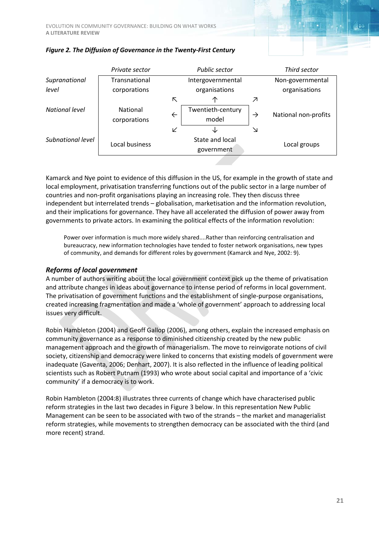|                   | Private sector  |              | <b>Public sector</b>          | Third sector  |                      |  |  |  |
|-------------------|-----------------|--------------|-------------------------------|---------------|----------------------|--|--|--|
| Supranational     | Transnational   |              | Intergovernmental             |               | Non-governmental     |  |  |  |
| level             | corporations    |              | organisations                 |               | organisations        |  |  |  |
|                   |                 | ↖            | ◠                             | Z.            |                      |  |  |  |
| National level    | <b>National</b> | $\leftarrow$ | Twentieth-century             | $\rightarrow$ | National non-profits |  |  |  |
|                   | corporations    |              | model                         |               |                      |  |  |  |
|                   |                 | V            |                               | ↘             |                      |  |  |  |
| Subnational level | Local business  |              | State and local<br>government | Local groups  |                      |  |  |  |
|                   |                 |              |                               |               |                      |  |  |  |



Kamarck and Nye point to evidence of this diffusion in the US, for example in the growth of state and local employment, privatisation transferring functions out of the public sector in a large number of countries and non-profit organisations playing an increasing role. They then discuss three independent but interrelated trends – globalisation, marketisation and the information revolution, and their implications for governance. They have all accelerated the diffusion of power away from governments to private actors. In examining the political effects of the information revolution:

Power over information is much more widely shared....Rather than reinforcing centralisation and bureaucracy, new information technologies have tended to foster network organisations, new types of community, and demands for different roles by government (Kamarck and Nye, 2002: 9).

#### *Reforms of local government*

A number of authors writing about the local government context pick up the theme of privatisation and attribute changes in ideas about governance to intense period of reforms in local government. The privatisation of government functions and the establishment of single-purpose organisations, created increasing fragmentation and made a 'whole of government' approach to addressing local issues very difficult.

Robin Hambleton (2004) and Geoff Gallop (2006), among others, explain the increased emphasis on community governance as a response to diminished citizenship created by the new public management approach and the growth of managerialism. The move to reinvigorate notions of civil society, citizenship and democracy were linked to concerns that existing models of government were inadequate (Gaventa, 2006; Denhart, 2007). It is also reflected in the influence of leading political scientists such as Robert Putnam (1993) who wrote about social capital and importance of a 'civic community' if a democracy is to work.

Robin Hambleton (2004:8) illustrates three currents of change which have characterised public reform strategies in the last two decades in Figure 3 below. In this representation New Public Management can be seen to be associated with two of the strands – the market and managerialist reform strategies, while movements to strengthen democracy can be associated with the third (and more recent) strand.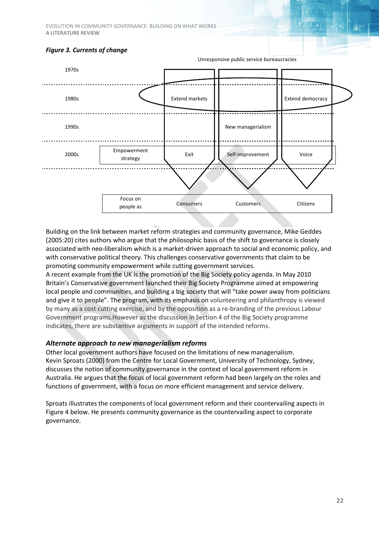EVOLUTION IN COMMUNITY GOVERNANCE: BUILDING ON WHAT WORKS **A LITERATURE REVIEW**

#### *Figure 3. Currents of change*



Building on the link between market reform strategies and community governance, Mike Geddes (2005:20) cites authors who argue that the philosophic basis of the shift to governance is closely associated with neo-liberalism which is a market-driven approach to social and economic policy, and with conservative political theory. This challenges conservative governments that claim to be promoting community empowerment while cutting government services.

A recent example from the UK is the promotion of the Big Society policy agenda. In May 2010 Britain's Conservative government launched their Big Society Programme aimed at empowering local people and communities, and building a big society that will "take power away from politicians and give it to people". The program, with its emphasis on volunteering and philanthropy is viewed by many as a cost cutting exercise, and by the opposition as a re-branding of the previous Labour Government programs.However as the discussion in Section 4 of the Big Society programme indicates, there are substantive arguments in support of the intended reforms.

#### *Alternate approach to new managerialism reforms*

Other local government authors have focused on the limitations of new managerialism. Kevin Sproats (2000) from the Centre for Local Government, University of Technology, Sydney, discusses the notion of community governance in the context of local government reform in Australia. He argues that the focus of local government reform had been largely on the roles and functions of government, with a focus on more efficient management and service delivery.

Sproats illustrates the components of local government reform and their countervailing aspects in Figure 4 below. He presents community governance as the countervailing aspect to corporate governance.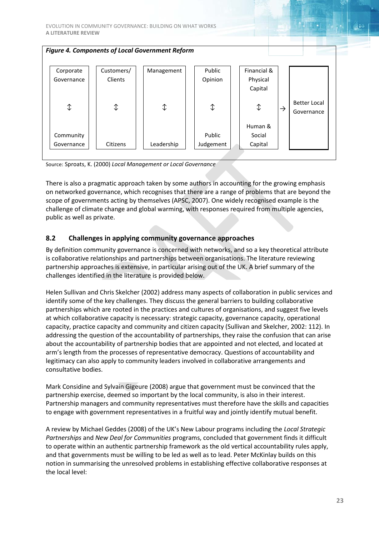| <b>Figure 4. Components of Local Government Reform</b> |  |                |  |            |  |           |  |             |               |                     |  |
|--------------------------------------------------------|--|----------------|--|------------|--|-----------|--|-------------|---------------|---------------------|--|
|                                                        |  |                |  |            |  |           |  |             |               |                     |  |
| Corporate                                              |  | Customers/     |  | Management |  | Public    |  | Financial & |               |                     |  |
| Governance                                             |  | Clients        |  |            |  | Opinion   |  | Physical    |               |                     |  |
|                                                        |  |                |  |            |  |           |  | Capital     |               |                     |  |
|                                                        |  |                |  |            |  |           |  |             |               | <b>Better Local</b> |  |
| ⇕                                                      |  | $\updownarrow$ |  | ⇕          |  | ⇕         |  | ⇕           | $\rightarrow$ | Governance          |  |
|                                                        |  |                |  |            |  |           |  |             |               |                     |  |
|                                                        |  |                |  |            |  |           |  | Human &     |               |                     |  |
| Community                                              |  |                |  |            |  | Public    |  | Social      |               |                     |  |
| Governance                                             |  | Citizens       |  | Leadership |  | Judgement |  | Capital     |               |                     |  |
|                                                        |  |                |  |            |  |           |  |             |               |                     |  |

Source: Sproats, K. (2000) *Local Management or Local Governance*

There is also a pragmatic approach taken by some authors in accounting for the growing emphasis on networked governance, which recognises that there are a range of problems that are beyond the scope of governments acting by themselves (APSC, 2007). One widely recognised example is the challenge of climate change and global warming, with responses required from multiple agencies, public as well as private.

#### <span id="page-22-0"></span>**8.2 Challenges in applying community governance approaches**

By definition community governance is concerned with networks, and so a key theoretical attribute is collaborative relationships and partnerships between organisations. The literature reviewing partnership approaches is extensive, in particular arising out of the UK. A brief summary of the challenges identified in the literature is provided below.

Helen Sullivan and Chris Skelcher (2002) address many aspects of collaboration in public services and identify some of the key challenges. They discuss the general barriers to building collaborative partnerships which are rooted in the practices and cultures of organisations, and suggest five levels at which collaborative capacity is necessary: strategic capacity, governance capacity, operational capacity, practice capacity and community and citizen capacity (Sullivan and Skelcher, 2002: 112). In addressing the question of the accountability of partnerships, they raise the confusion that can arise about the accountability of partnership bodies that are appointed and not elected, and located at arm's length from the processes of representative democracy. Questions of accountability and legitimacy can also apply to community leaders involved in collaborative arrangements and consultative bodies.

Mark Considine and Sylvain Gigeure (2008) argue that government must be convinced that the partnership exercise, deemed so important by the local community, is also in their interest. Partnership managers and community representatives must therefore have the skills and capacities to engage with government representatives in a fruitful way and jointly identify mutual benefit.

A review by Michael Geddes (2008) of the UK's New Labour programs including the *Local Strategic Partnerships* and *New Deal for Communities* programs, concluded that government finds it difficult to operate within an authentic partnership framework as the old vertical accountability rules apply, and that governments must be willing to be led as well as to lead. Peter McKinlay builds on this notion in summarising the unresolved problems in establishing effective collaborative responses at the local level: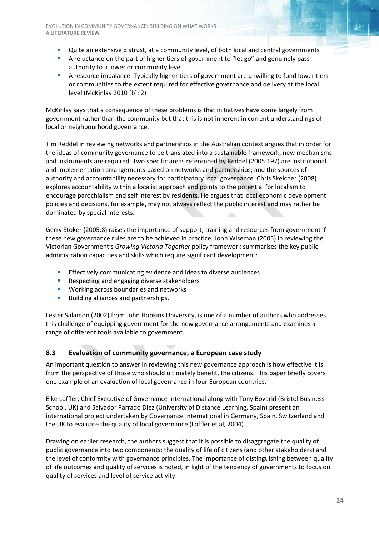- Quite an extensive distrust, at a community level, of both local and central governments
- A reluctance on the part of higher tiers of government to "let go" and genuinely pass authority to a lower or community level
- A resource imbalance. Typically higher tiers of government are unwilling to fund lower tiers or communities to the extent required for effective governance and delivery at the local level (McKinlay 2010 [b]: 2)

McKinlay says that a consequence of these problems is that initiatives have come largely from government rather than the community but that this is not inherent in current understandings of local or neighbourhood governance.

Tim Reddel in reviewing networks and partnerships in the Australian context argues that in order for the ideas of community governance to be translated into a sustainable framework, new mechanisms and instruments are required. Two specific areas referenced by Reddel (2005:197) are institutional and implementation arrangements based on networks and partnerships; and the sources of authority and accountability necessary for participatory local governance. Chris Skelcher (2008) explores accountability within a localist approach and points to the potential for localism to encourage parochialism and self interest by residents. He argues that local economic development policies and decisions, for example, may not always reflect the public interest and may rather be dominated by special interests.

Gerry Stoker (2005:8) raises the importance of support, training and resources from government if these new governance rules are to be achieved in practice. John Wiseman (2005) in reviewing the Victorian Government's *Growing Victoria Together* policy framework summarises the key public administration capacities and skills which require significant development:

- **Effectively communicating evidence and ideas to diverse audiences**
- **Respecting and engaging diverse stakeholders**
- **WORKING ACTORS BOUNDARIES AND NETWORKS**
- **Building alliances and partnerships.**

Lester Salamon (2002) from John Hopkins University, is one of a number of authors who addresses this challenge of equipping government for the new governance arrangements and examines a range of different tools available to government.

#### <span id="page-23-0"></span>**8.3 Evaluation of community governance, a European case study**

An important question to answer in reviewing this new governance approach is how effective it is from the perspective of those who should ultimately benefit, the citizens. This paper briefly covers one example of an evaluation of local governance in four European countries.

Elke Loffler, Chief Executive of Governance International along with Tony Bovarid (Bristol Business School, UK) and Salvador Parrado Diez (University of Distance Learning, Spain) present an international project undertaken by Governance International in Germany, Spain, Switzerland and the UK to evaluate the quality of local governance (Loffler et al, 2004).

Drawing on earlier research, the authors suggest that it is possible to disaggregate the quality of public governance into two components: the quality of life of citizens (and other stakeholders) and the level of conformity with governance principles. The importance of distinguishing between quality of life outcomes and quality of services is noted, in light of the tendency of governments to focus on quality of services and level of service activity.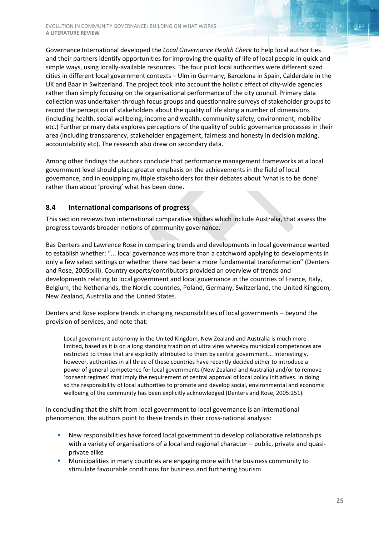Governance International developed the *Local Governance Health Check* to help local authorities and their partners identify opportunities for improving the quality of life of local people in quick and simple ways, using locally-available resources. The four pilot local authorities were different sized cities in different local government contexts – Ulm in Germany, Barcelona in Spain, Calderdale in the UK and Baar in Switzerland. The project took into account the holistic effect of city-wide agencies rather than simply focusing on the organisational performance of the city council. Primary data collection was undertaken through focus groups and questionnaire surveys of stakeholder groups to record the perception of stakeholders about the quality of life along a number of dimensions (including health, social wellbeing, income and wealth, community safety, environment, mobility etc.) Further primary data explores perceptions of the quality of public governance processes in their area (including transparency, stakeholder engagement, fairness and honesty in decision making, accountability etc). The research also drew on secondary data.

Among other findings the authors conclude that performance management frameworks at a local government level should place greater emphasis on the achievements in the field of local governance, and in equipping multiple stakeholders for their debates about 'what is to be done' rather than about 'proving' what has been done.

#### <span id="page-24-0"></span>**8.4 International comparisons of progress**

This section reviews two international comparative studies which include Australia, that assess the progress towards broader notions of community governance.

Bas Denters and Lawrence Rose in comparing trends and developments in local governance wanted to establish whether: "... local governance was more than a catchword applying to developments in only a few select settings or whether there had been a more fundamental transformation" (Denters and Rose, 2005:xiii). Country experts/contributors provided an overview of trends and developments relating to local government and local governance in the countries of France, Italy, Belgium, the Netherlands, the Nordic countries, Poland, Germany, Switzerland, the United Kingdom, New Zealand, Australia and the United States.

Denters and Rose explore trends in changing responsibilities of local governments – beyond the provision of services, and note that:

Local government autonomy in the United Kingdom, New Zealand and Australia is much more limited, based as it is on a long standing tradition of ultra vires whereby municipal competences are restricted to those that are explicitly attributed to them by central government... Interestingly, however, authorities in all three of these countries have recently decided either to introduce a power of general competence for local governments (New Zealand and Australia) and/or to remove 'consent regimes' that imply the requirement of central approval of local policy initiatives. In doing so the responsibility of local authorities to promote and develop social, environmental and economic wellbeing of the community has been explicitly acknowledged (Denters and Rose, 2005:251).

In concluding that the shift from local government to local governance is an international phenomenon, the authors point to these trends in their cross-national analysis:

- New responsibilities have forced local government to develop collaborative relationships with a variety of organisations of a local and regional character – public, private and quasiprivate alike
- **Municipalities in many countries are engaging more with the business community to** stimulate favourable conditions for business and furthering tourism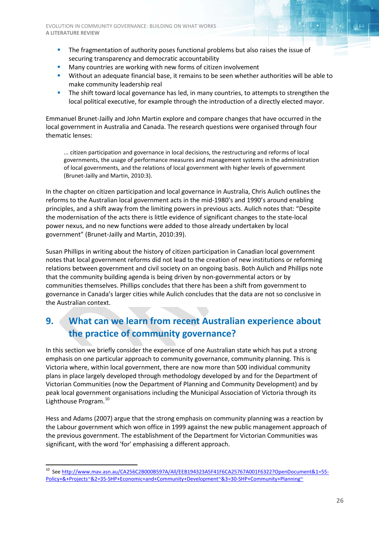- **The fragmentation of authority poses functional problems but also raises the issue of** securing transparency and democratic accountability
- **Many countries are working with new forms of citizen involvement**
- Without an adequate financial base, it remains to be seen whether authorities will be able to make community leadership real
- The shift toward local governance has led, in many countries, to attempts to strengthen the local political executive, for example through the introduction of a directly elected mayor.

Emmanuel Brunet-Jailly and John Martin explore and compare changes that have occurred in the local government in Australia and Canada. The research questions were organised through four thematic lenses:

... citizen participation and governance in local decisions, the restructuring and reforms of local governments, the usage of performance measures and management systems in the administration of local governments, and the relations of local government with higher levels of government (Brunet-Jailly and Martin, 2010:3).

In the chapter on citizen participation and local governance in Australia, Chris Aulich outlines the reforms to the Australian local government acts in the mid-1980's and 1990's around enabling principles, and a shift away from the limiting powers in previous acts. Aulich notes that: "Despite the modernisation of the acts there is little evidence of significant changes to the state-local power nexus, and no new functions were added to those already undertaken by local government" (Brunet-Jailly and Martin, 2010:39).

Susan Phillips in writing about the history of citizen participation in Canadian local government notes that local government reforms did not lead to the creation of new institutions or reforming relations between government and civil society on an ongoing basis. Both Aulich and Phillips note that the community building agenda is being driven by non-governmental actors or by communities themselves. Phillips concludes that there has been a shift from government to governance in Canada's larger cities while Aulich concludes that the data are not so conclusive in the Australian context.

## <span id="page-25-0"></span>**9. What can we learn from recent Australian experience about the practice of community governance?**

In this section we briefly consider the experience of one Australian state which has put a strong emphasis on one particular approach to community governance, community planning. This is Victoria where, within local government, there are now more than 500 individual community plans in place largely developed through methodology developed by and for the Department of Victorian Communities (now the Department of Planning and Community Development) and by peak local government organisations including the Municipal Association of Victoria through its Lighthouse Program. [10](#page-25-1)

Hess and Adams (2007) argue that the strong emphasis on community planning was a reaction by the Labour government which won office in 1999 against the new public management approach of the previous government. The establishment of the Department for Victorian Communities was significant, with the word 'for' emphasising a different approach.

<span id="page-25-1"></span> <sup>10</sup> Se[e http://www.mav.asn.au/CA256C2B000B597A/All/EEB194323A5F41F6CA25767A001F6322?OpenDocument&1=55-](http://www.mav.asn.au/CA256C2B000B597A/All/EEB194323A5F41F6CA25767A001F6322?OpenDocument&1=55-Policy+&+Projects~&2=35-SHP+Economic+and+Community+Development~&3=30-SHP+Community+Planning~) [Policy+&+Projects~&2=35-SHP+Economic+and+Community+Development~&3=30-SHP+Community+Planning~](http://www.mav.asn.au/CA256C2B000B597A/All/EEB194323A5F41F6CA25767A001F6322?OpenDocument&1=55-Policy+&+Projects~&2=35-SHP+Economic+and+Community+Development~&3=30-SHP+Community+Planning~)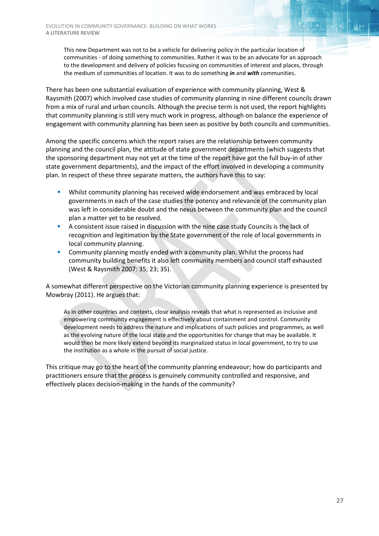This new Department was not to be a vehicle for delivering policy in the particular location of communities - of doing something to communities. Rather it was to be an advocate for an approach to the development and delivery of policies focusing on communities of interest and places, through the medium of communities of location. It was to do something *in* and *with* communities.

There has been one substantial evaluation of experience with community planning, West & Raysmith (2007) which involved case studies of community planning in nine different councils drawn from a mix of rural and urban councils. Although the precise term is not used, the report highlights that community planning is still very much work in progress, although on balance the experience of engagement with community planning has been seen as positive by both councils and communities.

Among the specific concerns which the report raises are the relationship between community planning and the council plan, the attitude of state government departments (which suggests that the sponsoring department may not yet at the time of the report have got the full buy-in of other state government departments), and the impact of the effort involved in developing a community plan. In respect of these three separate matters, the authors have this to say:

- Whilst community planning has received wide endorsement and was embraced by local governments in each of the case studies the potency and relevance of the community plan was left in considerable doubt and the nexus between the community plan and the council plan a matter yet to be resolved.
- A consistent issue raised in discussion with the nine case study Councils is the lack of recognition and legitimation by the State government of the role of local governments in local community planning.
- Community planning mostly ended with a community plan. Whilst the process had community building benefits it also left community members and council staff exhausted (West & Raysmith 2007: 35; 23; 35).

A somewhat different perspective on the Victorian community planning experience is presented by Mowbray (2011). He argues that:

As in other countries and contexts, close analysis reveals that what is represented as inclusive and empowering community engagement is effectively about containment and control. Community development needs to address the nature and implications of such policies and programmes, as well as the evolving nature of the local state and the opportunities for change that may be available. It would then be more likely extend beyond its marginalized status in local government, to try to use the institution as a whole in the pursuit of social justice.

This critique may go to the heart of the community planning endeavour; how do participants and practitioners ensure that the process is genuinely community controlled and responsive, and effectively places decision-making in the hands of the community?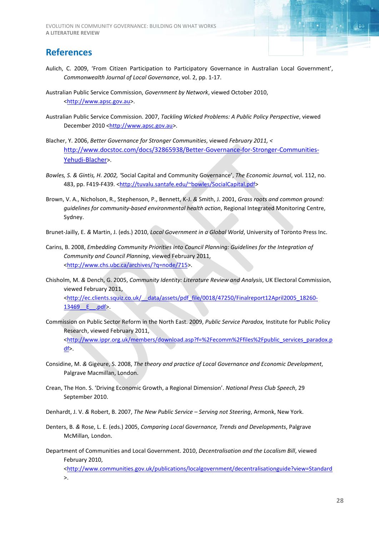#### <span id="page-27-0"></span>**References**

- Aulich, C. 2009, 'From Citizen Participation to Participatory Governance in Australian Local Government', *Commonwealth Journal of Local Governance*, vol. 2, pp. 1-17.
- Australian Public Service Commission, *Government by Network*, viewed October 2010, [<http://www.apsc.gov.au>](http://www.apsc.gov.au/).
- Australian Public Service Commission. 2007, *Tackling Wicked Problems: A Public Policy Perspective*, viewed December 2010 [<http://www.apsc.gov.au>](http://www.apsc.gov.au/).
- Blacher, Y. 2006, *Better Governance for Stronger Communities*, viewed *February 2011, <* [http://www.docstoc.com/docs/32865938/Better-Governance-for-Stronger-Communities-](http://www.docstoc.com/docs/32865938/Better-Governance-for-Stronger-Communities-Yehudi-Blacher)[Yehudi-Blacher>](http://www.docstoc.com/docs/32865938/Better-Governance-for-Stronger-Communities-Yehudi-Blacher).
- *Bowles, S. & Gintis, H. 2002, '*Social Capital and Community Governance', *The Economic Journal*, vol. 112, no. 483, pp. F419-F439. [<http://tuvalu.santafe.edu/~bowles/SocialCapital.pdf>](http://tuvalu.santafe.edu/~bowles/SocialCapital.pdf)
- Brown, V. A., Nicholson, R., Stephenson, P., Bennett, K-J. *&* Smith, J. 2001, *Grass roots and common ground: guidelines for community-based environmental health action*, Regional Integrated Monitoring Centre, Sydney.
- Brunet-Jailly, E. *&* Martin, J. (eds.) 2010, *Local Government in a Global World*, University of Toronto Press Inc.
- Carins, B. 2008, *Embedding Community Priorities into Council Planning: Guidelines for the Integration of Community and Council Planning*, viewed February 2011, [<http://www.chs.ubc.ca/archives/?q=node/715>](http://www.chs.ubc.ca/archives/?q=node/715).
- Chisholm, M. *&* Dench, G. 2005, *Community Identity: Literature Review and Analysis*, UK Electoral Commission, viewed February 2011, [<http://ec.clients.squiz.co.uk/\\_\\_data/assets/pdf\\_file/0018/47250/Finalreport12April2005\\_18260-](http://ec.clients.squiz.co.uk/__data/assets/pdf_file/0018/47250/Finalreport12April2005_18260-13469__E__.pdf%20February%202011) 13469 E .pdf>.
- Commission on Public Sector Reform in the North East. 2009, *Public Service Paradox,* Institute for Public Policy Research, viewed February 2011, [<http://www.ippr.org.uk/members/download.asp?f=%2Fecomm%2Ffiles%2Fpublic\\_services\\_paradox.p](http://www.ippr.org.uk/members/download.asp?f=%2Fecomm%2Ffiles%2Fpublic_services_paradox.pdf) [df>](http://www.ippr.org.uk/members/download.asp?f=%2Fecomm%2Ffiles%2Fpublic_services_paradox.pdf).
- Considine, M. *&* Gigeure, S. 2008, *The theory and practice of Local Governance and Economic Development*, Palgrave Macmillan, London.
- Crean, The Hon. S. 'Driving Economic Growth, a Regional Dimension'. *National Press Club Speech*, 29 September 2010.
- Denhardt, J. V. *&* Robert, B. 2007, *The New Public Service – Serving not Steering*, Armonk, New York.
- Denters, B. *&* Rose, L. E. (eds.) 2005, *Comparing Local Governance, Trends and Developments*, Palgrave McMillan*,* London.
- Department of Communities and Local Government. 2010, *Decentralisation and the Localism Bill*, viewed February 2010,

[<http://www.communities.gov.uk/publications/localgovernment/decentralisationguide?view=Standard](http://www.communities.gov.uk/publications/localgovernment/decentralisationguide?view=Standard) >.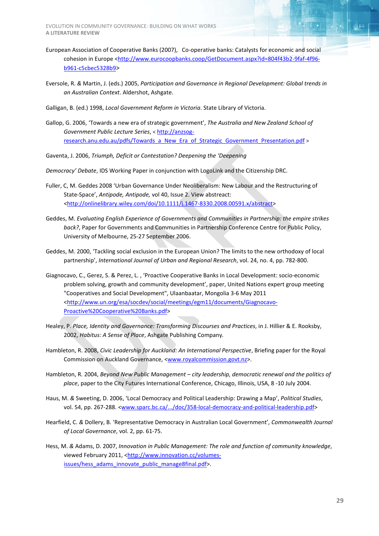EVOLUTION IN COMMUNITY GOVERNANCE: BUILDING ON WHAT WORKS **A LITERATURE REVIEW**

- European Association of Cooperative Banks (2007), Co-operative banks: Catalysts for economic and social cohesion in Europe [<http://www.eurocoopbanks.coop/GetDocument.aspx?id=804f43b2-9faf-4f96](http://www.eurocoopbanks.coop/GetDocument.aspx?id=804f43b2-9faf-4f96-b961-c5cbec5328b9) [b961-c5cbec5328b9>](http://www.eurocoopbanks.coop/GetDocument.aspx?id=804f43b2-9faf-4f96-b961-c5cbec5328b9)
- Eversole, R. *&* Martin, J. (eds.) 2005, *Participation and Governance in Regional Development: Global trends in an Australian Context*. Aldershot, Ashgate.
- Galligan, B. (ed.) 1998, *Local Government Reform in Victoria*. State Library of Victoria.
- Gallop, G. 2006, 'Towards a new era of strategic government', *The Australia and New Zealand School of Government Public Lecture Series*, < [http://anzsog](http://anzsog-research.anu.edu.au/pdfs/Towards_a_New_Era_of_Strategic_Government_Presentation.pdf)[research.anu.edu.au/pdfs/Towards\\_a\\_New\\_Era\\_of\\_Strategic\\_Government\\_Presentation.pdf](http://anzsog-research.anu.edu.au/pdfs/Towards_a_New_Era_of_Strategic_Government_Presentation.pdf) >
- Gaventa, J. 2006, *Triumph, Deficit or Contestation? Deepening the 'Deepening*
- *Democracy' Debate*, IDS Working Paper in conjunction with LogoLink and the Citizenship DRC.
- Fuller, C, M. Geddes 2008 'Urban Governance Under Neoliberalism: New Labour and the Restructuring of State-Space', *Antipode, Antipode,* vol 40, Issue 2. View abstreact: [<http://onlinelibrary.wiley.com/doi/10.1111/j.1467-8330.2008.00591.x/abstract>](http://onlinelibrary.wiley.com/doi/10.1111/j.1467-8330.2008.00591.x/abstract)
- Geddes, M. *Evaluating English Experience of Governments and Communities in Partnership: the empire strikes back?*, Paper for Governments and Communities in Partnership Conference Centre for Public Policy, University of Melbourne, 25-27 September 2006.
- Geddes, M. 2000, 'Tackling social exclusion in the European Union? The limits to the new orthodoxy of local partnership', *International Journal of Urban and Regional Research*, vol. 24, no. 4, pp. 782-800.
- Giagnocavo, C., Gerez, S. & Perez, L. , 'Proactive Cooperative Banks in Local Development: socio-economic problem solving, growth and community development', paper, United Nations expert group meeting "Cooperatives and Social Development", Ulaanbaatar, Mongolia 3-6 May 2011 [<http://www.un.org/esa/socdev/social/meetings/egm11/documents/Giagnocavo-](http://www.un.org/esa/socdev/social/meetings/egm11/documents/Giagnocavo-Proactive%20Cooperative%20Banks.pdf)[Proactive%20Cooperative%20Banks.pdf>](http://www.un.org/esa/socdev/social/meetings/egm11/documents/Giagnocavo-Proactive%20Cooperative%20Banks.pdf)
- Healey, P. *Place, Identity and Governance: Transforming Discourses and Practices*, in J. Hillier & E. Rooksby, 2002, *Habitus: A Sense of Place*, Ashgate Publishing Company*.*
- Hambleton, R. 2008, *Civic Leadership for Auckland: An International Perspective*, Briefing paper for the Royal Commission on Auckland Governance, [<www.royalcommission.govt.nz>](http://www.royalcommission.govt.nz/).
- Hambleton, R. 2004, *Beyond New Public Management – city leadership, democratic renewal and the politics of place*, paper to the City Futures International Conference, Chicago, Illinois, USA, 8 -10 July 2004.
- Haus, M. *&* Sweeting, D. 2006, 'Local Democracy and Political Leadership: Drawing a Map', *Political Studies*, vol. 54, pp. 267-288. [<www.sparc.bc.ca/.../doc/358-local-democracy-and-political-leadership.pdf>](http://www.sparc.bc.ca/.../doc/358-local-democracy-and-political-leadership.pdf)
- Hearfield, C. *&* Dollery, B. 'Representative Democracy in Australian Local Government', *Commonwealth Journal of Local Governance*, vol. 2, pp. 61-75.
- Hess, M. *&* Adams, D. 2007, *Innovation in Public Management: The role and function of community knowledge*, viewed February 2011, [<http://www.innovation.cc/volumes](http://www.innovation.cc/volumes-issues/hess_adams_innovate_public_manage8final.pdf)[issues/hess\\_adams\\_innovate\\_public\\_manage8final.pdf>](http://www.innovation.cc/volumes-issues/hess_adams_innovate_public_manage8final.pdf).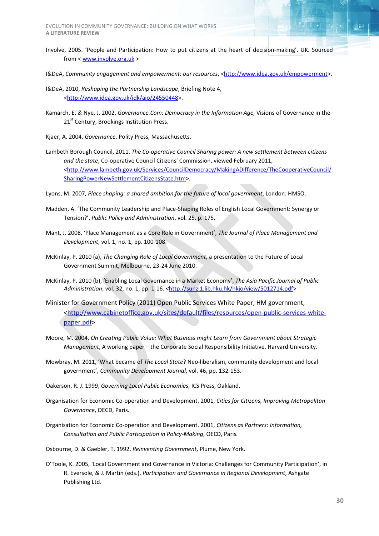- Involve, 2005. 'People and Participation: How to put citizens at the heart of decision-making'. UK. Sourced from < [www.involve.org.uk](http://www.involve.org.uk/) >
- I&DeA, Community engagement and empowerment: our resources, [<http://www.idea.gov.uk/empowerment>](http://www.idea.gov.uk/empowerment).
- I&DeA, 2010, *Reshaping the Partnership Landscape*, Briefing Note 4, [<http://www.idea.gov.uk/idk/aio/24550448>](http://www.idea.gov.uk/idk/aio/24550448).
- Kamarch, E. *&* Nye, J. 2002, *Governance.Com: Democracy in the Information Age,* Visions of Governance in the 21<sup>st</sup> Century, Brookings Institution Press.
- Kjaer, A. 2004, *Governance*. Polity Press, Massachusetts.
- Lambeth Borough Council, 2011, *The Co-operative Council Sharing power: A new settlement between citizens and the state*, Co-operative Council Citizens' Commission, viewed February 2011, [<http://www.lambeth.gov.uk/Services/CouncilDemocracy/MakingADifference/TheCooperativeCouncil/](http://www.lambeth.gov.uk/Services/CouncilDemocracy/MakingADifference/TheCooperativeCouncil/SharingPowerNewSettlementCitizensState.htm) [SharingPowerNewSettlementCitizensState.htm>](http://www.lambeth.gov.uk/Services/CouncilDemocracy/MakingADifference/TheCooperativeCouncil/SharingPowerNewSettlementCitizensState.htm).
- Lyons, M. 2007, *Place shaping: a shared ambition for the future of local government*, London: HMSO.
- Madden, A. 'The Community Leadership and Place-Shaping Roles of English Local Government: Synergy or Tension?', *Public Policy and Administration*, vol. 25, p. 175.
- Mant, J. 2008, 'Place Management as a Core Role in Government', *The Journal of Place Management and Development*, vol. 1, no. 1, pp. 100-108.
- McKinlay, P. 2010 (a), *The Changing Role of Local Government*, a presentation to the Future of Local Government Summit, Melbourne, 23-24 June 2010.
- McKinlay, P. 2010 (b), 'Enabling Local Governance in a Market Economy', *The Asia Pacific Journal of Public*  Administration, vol. 32, no. 1, pp. 1-16. [<http://sunzi1.lib.hku.hk/hkjo/view/5012714.pdf>](http://sunzi1.lib.hku.hk/hkjo/view/5012714.pdf)
- Minister for Government Policy (2011) Open Public Services White Paper, HM government, [<http://www.cabinetoffice.gov.uk/sites/default/files/resources/open-public-services-white](http://www.cabinetoffice.gov.uk/sites/default/files/resources/open-public-services-white-paper.pdf)[paper.pdf>](http://www.cabinetoffice.gov.uk/sites/default/files/resources/open-public-services-white-paper.pdf)
- Moore, M. 2004, *On Creating Public Value: What Business might Learn from Government about Strategic Management*, A working paper – the Corporate Social Responsibility Initiative, Harvard University.
- Mowbray, M. 2011, 'What became of *The Local State*? Neo-liberalism, community development and local government', *Community Development Journal*, vol. 46, pp. 132-153.
- Oakerson, R. J. 1999, *Governing Local Public Economies*, ICS Press, Oakland.
- Organisation for Economic Co-operation and Development. 2001, *Cities for Citizens, Improving Metropolitan Governance*, OECD, Paris.
- Organisation for Economic Co-operation and Development. 2001, *Citizens as Partners: Information, Consultation and Public Participation in Policy-Making*, OECD, Paris*.*
- Osbourne, D. *&* Gaebler, T. 1992, *Reinventing Government*, Plume, New York.
- O'Toole, K. 2005, 'Local Government and Governance in Victoria: Challenges for Community Participation', in R. Eversole, *&* J. Martin (eds.), *Participation and Governance in Regional Development*, Ashgate Publishing Ltd.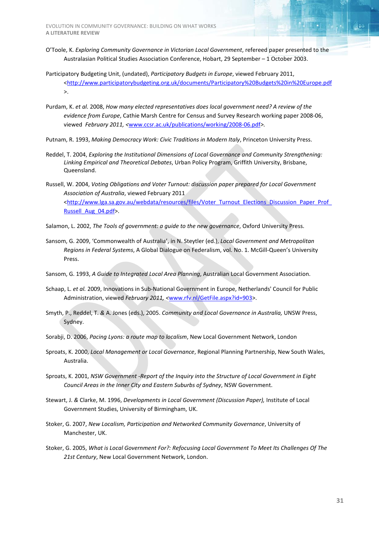- O'Toole, K. *Exploring Community Governance in Victorian Local Government*, refereed paper presented to the Australasian Political Studies Association Conference, Hobart, 29 September – 1 October 2003.
- Participatory Budgeting Unit, (undated), *Participatory Budgets in Europe*, viewed February 2011, [<http://www.participatorybudgeting.org.uk/documents/Participatory%20Budgets%20in%20Europe.pdf](http://www.participatorybudgeting.org.uk/documents/Participatory%20Budgets%20in%20Europe.pdf) >.
- Purdam, K. *et al.* 2008, *How many elected representatives does local government need? A review of the evidence from Europe*, Cathie Marsh Centre for Census and Survey Research working paper 2008-06, viewed *February 2011, <*[www.ccsr.ac.uk/publications/working/2008-06.pdf](http://www.ccsr.ac.uk/publications/working/2008-06.pdf)*>.*
- Putnam, R. 1993, *Making Democracy Work: Civic Traditions in Modern Italy*, Princeton University Press.
- Reddel, T. 2004, *Exploring the Institutional Dimensions of Local Governance and Community Strengthening: Linking Empirical and Theoretical Debates*, Urban Policy Program, Griffith University, Brisbane, Queensland.
- Russell, W. 2004, *Voting Obligations and Voter Turnout: discussion paper prepared for Local Government Association of Australia*, viewed February 2011 [<http://www.lga.sa.gov.au/webdata/resources/files/Voter\\_Turnout\\_Elections\\_Discussion\\_Paper\\_Prof\\_](http://www.lga.sa.gov.au/webdata/resources/files/Voter_Turnout_Elections_Discussion_Paper_Prof_Russell_Aug_04.pdf) [Russell\\_Aug\\_04.pdf>](http://www.lga.sa.gov.au/webdata/resources/files/Voter_Turnout_Elections_Discussion_Paper_Prof_Russell_Aug_04.pdf).
- Salamon, L. 2002, *The Tools of government: a guide to the new governance*, Oxford University Press.
- Sansom, G. 2009, 'Commonwealth of Australia', in N. Steytler (ed.), *Local Government and Metropolitan Regions in Federal Systems*, A Global Dialogue on Federalism, vol. No. 1. McGill-Queen's University Press.
- Sansom, G. 1993, *A Guide to Integrated Local Area Planning*, Australian Local Government Association.
- Schaap, L. *et al.* 2009, Innovations in Sub-National Government in Europe, Netherlands' Council for Public Administration, viewed *February 2011, <*[www.rfv.nl/GetFile.aspx?id=903>](http://www.rfv.nl/GetFile.aspx?id=903).
- Smyth, P., Reddel, T. *&* A. Jones (eds.), 2005. *Community and Local Governance in Australia,* UNSW Press, Sydney.
- Sorabji, D. 2006, *Pacing Lyons: a route map to localism*, New Local Government Network, London
- Sproats, K. 2000, *Local Management or Local Governance*, Regional Planning Partnership, New South Wales, Australia.
- Sproats, K. 2001, *NSW Government -Report of the Inquiry into the Structure of Local Government in Eight Council Areas in the Inner City and Eastern Suburbs of Sydney*, NSW Government.
- Stewart, J. *&* Clarke, M. 1996, *Developments in Local Government (Discussion Paper),* Institute of Local Government Studies, University of Birmingham, UK.
- Stoker, G. 2007, *New Localism, Participation and Networked Community Governance*, University of Manchester, UK.
- Stoker, G. 2005, *What is Local Government For?: Refocusing Local Government To Meet Its Challenges Of The 21st Century*, New Local Government Network, London.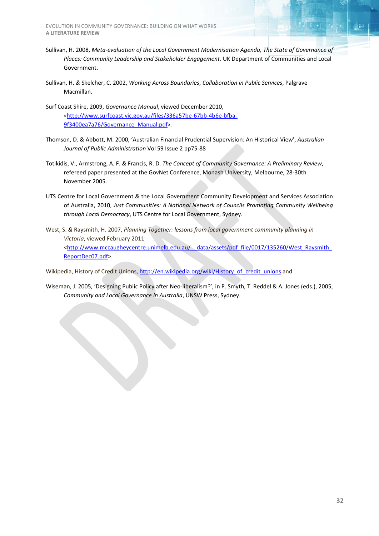EVOLUTION IN COMMUNITY GOVERNANCE: BUILDING ON WHAT WORKS **A LITERATURE REVIEW**

- Sullivan, H. 2008, *Meta-evaluation of the Local Government Modernisation Agenda, The State of Governance of Places: Community Leadership and Stakeholder Engagement.* UK Department of Communities and Local Government.
- Sullivan, H. *&* Skelcher, C. 2002, *Working Across Boundaries*, *Collaboration in Public Services*, Palgrave Macmillan.
- Surf Coast Shire, 2009, *Governance Manual*, viewed December 2010, [<http://www.surfcoast.vic.gov.au/files/336a57be-67bb-4b6e-bfba-](http://www.surfcoast.vic.gov.au/files/336a57be-67bb-4b6e-bfba-9f3400ea7a76/Governance_Manual.pdf)[9f3400ea7a76/Governance\\_Manual.pdf>](http://www.surfcoast.vic.gov.au/files/336a57be-67bb-4b6e-bfba-9f3400ea7a76/Governance_Manual.pdf).
- Thomson, D. & Abbott, M. 2000, 'Australian Financial Prudential Supervision: An Historical View', *Australian Journal of Public Administration* Vol 59 Issue 2 pp75-88
- Totikidis, V., Armstrong, A. F. *&* Francis, R. D. *The Concept of Community Governance: A Preliminary Review*, refereed paper presented at the GovNet Conference, Monash University, Melbourne, 28-30th November 2005.
- UTS Centre for Local Government *&* the Local Government Community Development and Services Association of Australia, 2010, *Just Communities: A National Network of Councils Promoting Community Wellbeing through Local Democracy*, UTS Centre for Local Government, Sydney.
- West, S. *&* Raysmith, H. 2007, *Planning Together: lessons from local government community planning in Victoria*, viewed February 2011 <http://www.mccaugheycentre.unimelb.edu.au/ data/assets/pdf\_file/0017/135260/West\_Raysmith\_ [ReportDec07.pdf>](http://www.mccaugheycentre.unimelb.edu.au/__data/assets/pdf_file/0017/135260/West_Raysmith_ReportDec07.pdf).

Wikipedia, History of Credit Unions[, http://en.wikipedia.org/wiki/History\\_of\\_credit\\_unions](http://en.wikipedia.org/wiki/History_of_credit_unions) and

Wiseman, J. 2005, 'Designing Public Policy after Neo-liberalism?', in P. Smyth, T. Reddel & A. Jones (eds.), 2005, *Community and Local Governance in Australia*, UNSW Press, Sydney.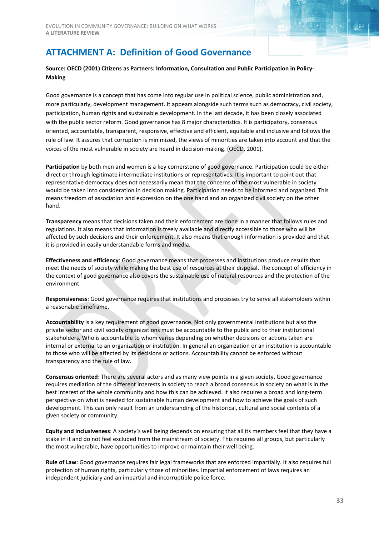#### <span id="page-32-0"></span>**Source: OECD (2001) Citizens as Partners: Information, Consultation and Public Participation in Policy-Making**

Good governance is a concept that has come into regular use in political science, public administration and, more particularly, development management. It appears alongside such terms such as democracy, civil society, participation, human rights and sustainable development. In the last decade, it has been closely associated with the public sector reform. Good governance has 8 major characteristics. It is participatory, consensus oriented, accountable, transparent, responsive, effective and efficient, equitable and inclusive and follows the rule of law. It assures that corruption is minimized, the views of minorities are taken into account and that the voices of the most vulnerable in society are heard in decision-making. (OECD, 2001).

**Participation** by both men and women is a key cornerstone of good governance. Participation could be either direct or through legitimate intermediate institutions or representatives. It is important to point out that representative democracy does not necessarily mean that the concerns of the most vulnerable in society would be taken into consideration in decision making. Participation needs to be informed and organized. This means freedom of association and expression on the one hand and an organized civil society on the other hand.

**Transparency** means that decisions taken and their enforcement are done in a manner that follows rules and regulations. It also means that information is freely available and directly accessible to those who will be affected by such decisions and their enforcement. It also means that enough information is provided and that it is provided in easily understandable forms and media.

**Effectiveness and efficiency**: Good governance means that processes and institutions produce results that meet the needs of society while making the best use of resources at their disposal. The concept of efficiency in the context of good governance also covers the sustainable use of natural resources and the protection of the environment.

**Responsiveness**: Good governance requires that institutions and processes try to serve all stakeholders within a reasonable timeframe.

**Accountability** is a key requirement of good governance. Not only governmental institutions but also the private sector and civil society organizations must be accountable to the public and to their institutional stakeholders. Who is accountable to whom varies depending on whether decisions or actions taken are internal or external to an organization or institution. In general an organization or an institution is accountable to those who will be affected by its decisions or actions. Accountability cannot be enforced without transparency and the rule of law.

**Consensus oriented**: There are several actors and as many view points in a given society. Good governance requires mediation of the different interests in society to reach a broad consensus in society on what is in the best interest of the whole community and how this can be achieved. It also requires a broad and long-term perspective on what is needed for sustainable human development and how to achieve the goals of such development. This can only result from an understanding of the historical, cultural and social contexts of a given society or community.

**Equity and inclusiveness**: A society's well being depends on ensuring that all its members feel that they have a stake in it and do not feel excluded from the mainstream of society. This requires all groups, but particularly the most vulnerable, have opportunities to improve or maintain their well being.

**Rule of Law**: Good governance requires fair legal frameworks that are enforced impartially. It also requires full protection of human rights, particularly those of minorities. Impartial enforcement of laws requires an independent judiciary and an impartial and incorruptible police force.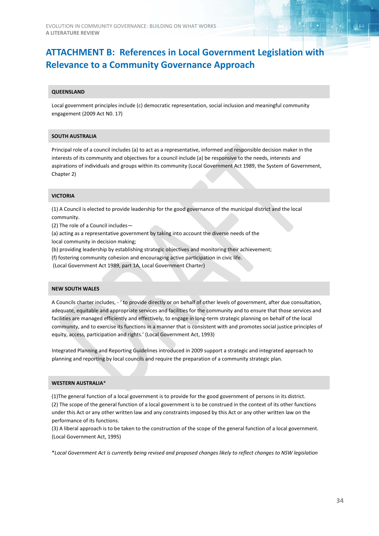## <span id="page-33-0"></span>**ATTACHMENT B: References in Local Government Legislation with Relevance to a Community Governance Approach**

#### **QUEENSLAND**

Local government principles include (c) democratic representation, social inclusion and meaningful community engagement (2009 Act N0. 17)

#### **SOUTH AUSTRALIA**

Principal role of a council includes (a) to act as a representative, informed and responsible decision maker in the interests of its community and objectives for a council include (a) be responsive to the needs, interests and aspirations of individuals and groups within its community (Local Government Act 1989, the System of Government, Chapter 2)

#### **VICTORIA**

(1) A Council is elected to provide leadership for the good governance of the municipal district and the local community.

(2) The role of a Council includes—

(a) acting as a representative government by taking into account the diverse needs of the

local community in decision making;

(b) providing leadership by establishing strategic objectives and monitoring their achievement;

(f) fostering community cohesion and encouraging active participation in civic life.

(Local Government Act 1989, part 1A, Local Government Charter)

#### **NEW SOUTH WALES**

A Councils charter includes, - ' to provide directly or on behalf of other levels of government, after due consultation, adequate, equitable and appropriate services and facilities for the community and to ensure that those services and facilities are managed efficiently and effectively, to engage in long-term strategic planning on behalf of the local community, and to exercise its functions in a manner that is consistent with and promotes social justice principles of equity, access, participation and rights.' (Local Government Act, 1993)

Integrated Planning and Reporting Guidelines introduced in 2009 support a strategic and integrated approach to planning and reporting by local councils and require the preparation of a community strategic plan.

#### **WESTERN AUSTRALIA**\*

(1)The general function of a local government is to provide for the good government of persons in its district. (2) The scope of the general function of a local government is to be construed in the context of its other functions under this Act or any other written law and any constraints imposed by this Act or any other written law on the performance of its functions.

(3) A liberal approach is to be taken to the construction of the scope of the general function of a local government. (Local Government Act, 1995)

\**Local Government Act is currently being revised and proposed changes likely to reflect changes to NSW legislation*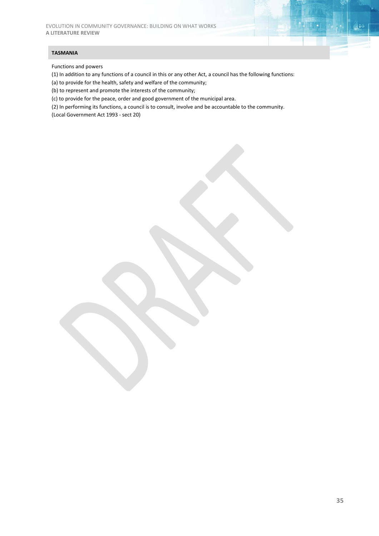#### **TASMANIA**

Functions and powers

(1) In addition to any functions of a council in this or any other Act, a council has the following functions:

(a) to provide for the health, safety and welfare of the community;

(b) to represent and promote the interests of the community;

(c) to provide for the peace, order and good government of the municipal area.

(2) In performing its functions, a council is to consult, involve and be accountable to the community. (Local Government Act 1993 - sect 20)